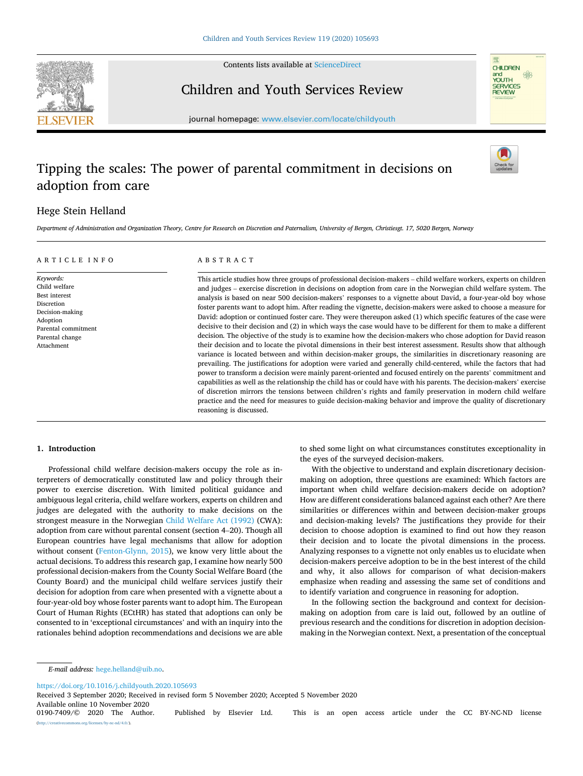

Contents lists available at [ScienceDirect](www.sciencedirect.com/science/journal/01907409)

# Children and Youth Services Review



journal homepage: [www.elsevier.com/locate/childyouth](https://www.elsevier.com/locate/childyouth)

# Tipping the scales: The power of parental commitment in decisions on adoption from care

# Hege Stein Helland

*Department of Administration and Organization Theory, Centre for Research on Discretion and Paternalism, University of Bergen, Christiesgt. 17, 5020 Bergen, Norway* 

| ARTICLE INFO                                                                                                                                     | A B S T R A C T                                                                                                                                                                                                                                                                                                                                                                                                                                                                                                                                                                                                                                                                                                                                                                                                                                                                                                                                                                                                                                                                                                                                                                                                                                                                                                                                                                                                                                                                                                                                                                                                                                                                                     |
|--------------------------------------------------------------------------------------------------------------------------------------------------|-----------------------------------------------------------------------------------------------------------------------------------------------------------------------------------------------------------------------------------------------------------------------------------------------------------------------------------------------------------------------------------------------------------------------------------------------------------------------------------------------------------------------------------------------------------------------------------------------------------------------------------------------------------------------------------------------------------------------------------------------------------------------------------------------------------------------------------------------------------------------------------------------------------------------------------------------------------------------------------------------------------------------------------------------------------------------------------------------------------------------------------------------------------------------------------------------------------------------------------------------------------------------------------------------------------------------------------------------------------------------------------------------------------------------------------------------------------------------------------------------------------------------------------------------------------------------------------------------------------------------------------------------------------------------------------------------------|
| Keywords:<br>Child welfare<br>Best interest<br>Discretion<br>Decision-making<br>Adoption<br>Parental commitment<br>Parental change<br>Attachment | This article studies how three groups of professional decision-makers – child welfare workers, experts on children<br>and judges – exercise discretion in decisions on adoption from care in the Norwegian child welfare system. The<br>analysis is based on near 500 decision-makers' responses to a vignette about David, a four-year-old boy whose<br>foster parents want to adopt him. After reading the vignette, decision-makers were asked to choose a measure for<br>David: adoption or continued foster care. They were thereupon asked (1) which specific features of the case were<br>decisive to their decision and (2) in which ways the case would have to be different for them to make a different<br>decision. The objective of the study is to examine how the decision-makers who chose adoption for David reason<br>their decision and to locate the pivotal dimensions in their best interest assessment. Results show that although<br>variance is located between and within decision-maker groups, the similarities in discretionary reasoning are<br>prevailing. The justifications for adoption were varied and generally child-centered, while the factors that had<br>power to transform a decision were mainly parent-oriented and focused entirely on the parents' commitment and<br>capabilities as well as the relationship the child has or could have with his parents. The decision-makers' exercise<br>of discretion mirrors the tensions between children's rights and family preservation in modern child welfare<br>practice and the need for measures to guide decision-making behavior and improve the quality of discretionary<br>reasoning is discussed. |

# **1. Introduction**

Professional child welfare decision-makers occupy the role as interpreters of democratically constituted law and policy through their power to exercise discretion. With limited political guidance and ambiguous legal criteria, child welfare workers, experts on children and judges are delegated with the authority to make decisions on the strongest measure in the Norwegian [Child Welfare Act \(1992\)](#page-9-0) (CWA): adoption from care without parental consent (section 4–20). Though all European countries have legal mechanisms that allow for adoption without consent [\(Fenton-Glynn, 2015](#page-9-0)), we know very little about the actual decisions. To address this research gap, I examine how nearly 500 professional decision-makers from the County Social Welfare Board (the County Board) and the municipal child welfare services justify their decision for adoption from care when presented with a vignette about a four-year-old boy whose foster parents want to adopt him. The European Court of Human Rights (ECtHR) has stated that adoptions can only be consented to in 'exceptional circumstances' and with an inquiry into the rationales behind adoption recommendations and decisions we are able to shed some light on what circumstances constitutes exceptionality in the eyes of the surveyed decision-makers.

With the objective to understand and explain discretionary decisionmaking on adoption, three questions are examined: Which factors are important when child welfare decision-makers decide on adoption? How are different considerations balanced against each other? Are there similarities or differences within and between decision-maker groups and decision-making levels? The justifications they provide for their decision to choose adoption is examined to find out how they reason their decision and to locate the pivotal dimensions in the process. Analyzing responses to a vignette not only enables us to elucidate when decision-makers perceive adoption to be in the best interest of the child and why, it also allows for comparison of what decision-makers emphasize when reading and assessing the same set of conditions and to identify variation and congruence in reasoning for adoption.

In the following section the background and context for decisionmaking on adoption from care is laid out, followed by an outline of previous research and the conditions for discretion in adoption decisionmaking in the Norwegian context. Next, a presentation of the conceptual

<https://doi.org/10.1016/j.childyouth.2020.105693>

 $rac{-nd}{4.0}$ .

Available online 10 November 2020<br>0190-7409/© 2020 The Author. Published by Elsevier Ltd. This is an open access article under the CC BY-NC-ND license Received 3 September 2020; Received in revised form 5 November 2020; Accepted 5 November 2020

*E-mail address:* [hege.helland@uib.no.](mailto:hege.helland@uib.no)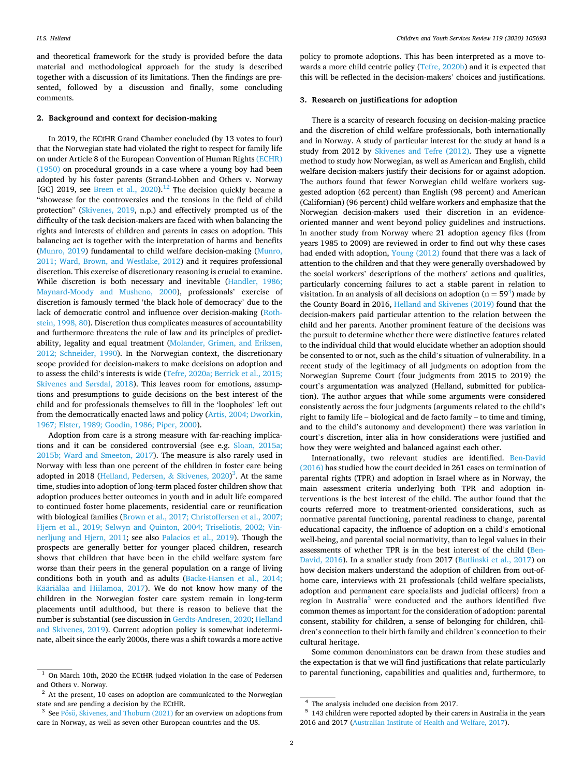<span id="page-1-0"></span>and theoretical framework for the study is provided before the data material and methodological approach for the study is described together with a discussion of its limitations. Then the findings are presented, followed by a discussion and finally, some concluding comments.

#### **2. Background and context for decision-making**

In 2019, the ECtHR Grand Chamber concluded (by 13 votes to four) that the Norwegian state had violated the right to respect for family life on under Article 8 of the European Convention of Human Rights [\(ECHR\)](#page-9-0)  [\(1950\)](#page-9-0) on procedural grounds in a case where a young boy had been adopted by his foster parents (Strand-Lobben and Others v. Norway [GC] 2019, see Breen et al.,  $2020$ .<sup>12</sup> The decision quickly became a "showcase for the controversies and the tensions in the field of child protection" ([Skivenes, 2019,](#page-10-0) n.p.) and effectively prompted us of the difficulty of the task decision-makers are faced with when balancing the rights and interests of children and parents in cases on adoption. This balancing act is together with the interpretation of harms and benefits ([Munro, 2019](#page-10-0)) fundamental to child welfare decision-making ([Munro,](#page-10-0)  [2011; Ward, Brown, and Westlake, 2012](#page-10-0)) and it requires professional discretion. This exercise of discretionary reasoning is crucial to examine. While discretion is both necessary and inevitable [\(Handler, 1986;](#page-10-0)  [Maynard-Moody and Musheno, 2000\)](#page-10-0), professionals' exercise of discretion is famously termed 'the black hole of democracy' due to the lack of democratic control and influence over decision-making [\(Roth](#page-10-0)[stein, 1998, 80\)](#page-10-0). Discretion thus complicates measures of accountability and furthermore threatens the rule of law and its principles of predictability, legality and equal treatment ([Molander, Grimen, and Eriksen,](#page-10-0)  [2012; Schneider, 1990\)](#page-10-0). In the Norwegian context, the discretionary scope provided for decision-makers to make decisions on adoption and to assess the child's interests is wide [\(Tefre, 2020a; Berrick et al., 2015;](#page-10-0)  [Skivenes and S](#page-10-0)ørsdal, 2018). This leaves room for emotions, assumptions and presumptions to guide decisions on the best interest of the child and for professionals themselves to fill in the 'loopholes' left out from the democratically enacted laws and policy ([Artis, 2004; Dworkin,](#page-9-0)  [1967; Elster, 1989; Goodin, 1986; Piper, 2000](#page-9-0)).

Adoption from care is a strong measure with far-reaching implications and it can be considered controversial (see e.g. [Sloan, 2015a;](#page-10-0)  [2015b; Ward and Smeeton, 2017\)](#page-10-0). The measure is also rarely used in Norway with less than one percent of the children in foster care being adopted in 2018 [\(Helland, Pedersen,](#page-10-0)  $\&$  Skivenes, 2020)<sup>3</sup>. At the same time, studies into adoption of long-term placed foster children show that adoption produces better outcomes in youth and in adult life compared to continued foster home placements, residential care or reunification with biological families ([Brown et al., 2017; Christoffersen et al., 2007;](#page-9-0)  [Hjern et al., 2019; Selwyn and Quinton, 2004; Triseliotis, 2002; Vin](#page-9-0)[nerljung and Hjern, 2011](#page-9-0); see also [Palacios et al., 2019](#page-10-0)). Though the prospects are generally better for younger placed children, research shows that children that have been in the child welfare system fare worse than their peers in the general population on a range of living conditions both in youth and as adults ([Backe-Hansen et al., 2014;](#page-9-0)  Kääriäläa [and Hiilamoa, 2017](#page-9-0)). We do not know how many of the children in the Norwegian foster care system remain in long-term placements until adulthood, but there is reason to believe that the number is substantial (see discussion in [Gerdts-Andresen, 2020;](#page-9-0) [Helland](#page-10-0)  [and Skivenes, 2019](#page-10-0)). Current adoption policy is somewhat indeterminate, albeit since the early 2000s, there was a shift towards a more active

policy to promote adoptions. This has been interpreted as a move towards a more child centric policy [\(Tefre, 2020b\)](#page-10-0) and it is expected that this will be reflected in the decision-makers' choices and justifications.

#### **3. Research on justifications for adoption**

There is a scarcity of research focusing on decision-making practice and the discretion of child welfare professionals, both internationally and in Norway. A study of particular interest for the study at hand is a study from 2012 by [Skivenes and Tefre \(2012\).](#page-10-0) They use a vignette method to study how Norwegian, as well as American and English, child welfare decision-makers justify their decisions for or against adoption. The authors found that fewer Norwegian child welfare workers suggested adoption (62 percent) than English (98 percent) and American (Californian) (96 percent) child welfare workers and emphasize that the Norwegian decision-makers used their discretion in an evidenceoriented manner and went beyond policy guidelines and instructions. In another study from Norway where 21 adoption agency files (from years 1985 to 2009) are reviewed in order to find out why these cases had ended with adoption, [Young \(2012\)](#page-11-0) found that there was a lack of attention to the children and that they were generally overshadowed by the social workers' descriptions of the mothers' actions and qualities, particularly concerning failures to act a stable parent in relation to visitation. In an analysis of all decisions on adoption ( $n = 59<sup>4</sup>$ ) made by the County Board in 2016, [Helland and Skivenes \(2019\)](#page-10-0) found that the decision-makers paid particular attention to the relation between the child and her parents. Another prominent feature of the decisions was the pursuit to determine whether there were distinctive features related to the individual child that would elucidate whether an adoption should be consented to or not, such as the child's situation of vulnerability. In a recent study of the legitimacy of all judgments on adoption from the Norwegian Supreme Court (four judgments from 2015 to 2019) the court's argumentation was analyzed (Helland, submitted for publication). The author argues that while some arguments were considered consistently across the four judgments (arguments related to the child's right to family life – biological and de facto family – to time and timing, and to the child's autonomy and development) there was variation in court's discretion, inter alia in how considerations were justified and how they were weighted and balanced against each other.

Internationally, two relevant studies are identified. [Ben-David](#page-9-0)  [\(2016\)](#page-9-0) has studied how the court decided in 261 cases on termination of parental rights (TPR) and adoption in Israel where as in Norway, the main assessment criteria underlying both TPR and adoption interventions is the best interest of the child. The author found that the courts referred more to treatment-oriented considerations, such as normative parental functioning, parental readiness to change, parental educational capacity, the influence of adoption on a child's emotional well-being, and parental social normativity, than to legal values in their assessments of whether TPR is in the best interest of the child ([Ben-](#page-9-0)[David, 2016](#page-9-0)). In a smaller study from 2017 [\(Butlinski et al., 2017](#page-9-0)) on how decision makers understand the adoption of children from out-ofhome care, interviews with 21 professionals (child welfare specialists, adoption and permanent care specialists and judicial officers) from a region in Australia<sup>5</sup> were conducted and the authors identified five common themes as important for the consideration of adoption: parental consent, stability for children, a sense of belonging for children, children's connection to their birth family and children's connection to their cultural heritage.

Some common denominators can be drawn from these studies and the expectation is that we will find justifications that relate particularly  $\frac{1}{1}$  On March 10th, 2020 the ECtHR judged violation in the case of Pedersen to parental functioning, capabilities and qualities and, furthermore, to

and Others v. Norway.<br> $\frac{2}{3}$  At the present, 10 cases on adoption are communicated to the Norwegian

state and are pending a decision by the ECtHR.<br><sup>3</sup> See [Pos](#page-10-0)o, Skivenes, and Thoburn (2021) for an overview on adoptions from

care in Norway, as well as seven other European countries and the US.

 $^4\,$  The analysis included one decision from 2017.  $^5\,$  143 children were reported adopted by their carers in Australia in the years 2016 and 2017 ([Australian Institute of Health and Welfare, 2017\)](#page-9-0).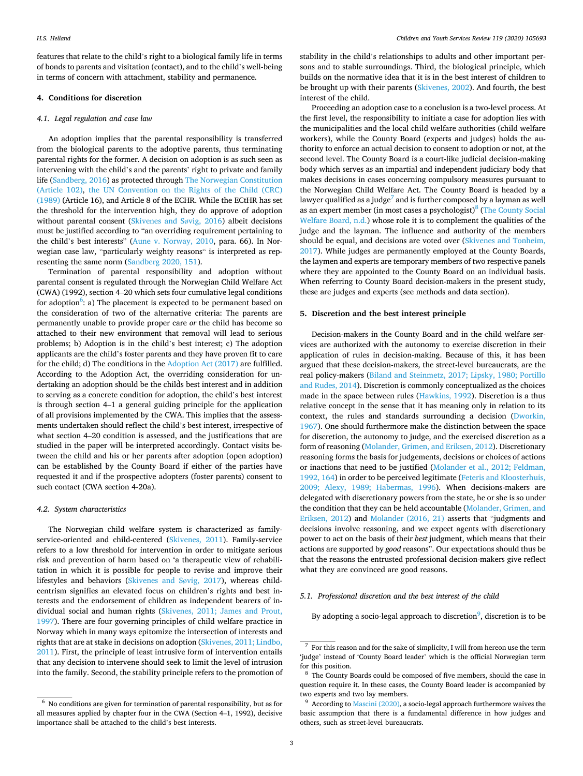features that relate to the child's right to a biological family life in terms of bonds to parents and visitation (contact), and to the child's well-being in terms of concern with attachment, stability and permanence.

#### **4. Conditions for discretion**

#### *4.1. Legal regulation and case law*

An adoption implies that the parental responsibility is transferred from the biological parents to the adoptive parents, thus terminating parental rights for the former. A decision on adoption is as such seen as intervening with the child's and the parents' right to private and family life [\(Sandberg, 2016](#page-10-0)) as protected through [The Norwegian Constitution](#page-11-0)  [\(Article 102\),](#page-11-0) [the UN Convention on the Rights of the Child \(CRC\)](#page-9-0)  [\(1989\)](#page-9-0) (Article 16), and Article 8 of the ECHR. While the ECtHR has set the threshold for the intervention high, they do approve of adoption without parental consent [\(Skivenes and S](#page-10-0)øvig, 2016) albeit decisions must be justified according to "an overriding requirement pertaining to the child's best interests" ([Aune v. Norway, 2010](#page-9-0), para. 66). In Norwegian case law, "particularly weighty reasons" is interpreted as representing the same norm [\(Sandberg 2020, 151\)](#page-10-0).

Termination of parental responsibility and adoption without parental consent is regulated through the Norwegian Child Welfare Act (CWA) (1992), section 4–20 which sets four cumulative legal conditions for adoption<sup>6</sup>: a) The placement is expected to be permanent based on the consideration of two of the alternative criteria: The parents are permanently unable to provide proper care *or* the child has become so attached to their new environment that removal will lead to serious problems; b) Adoption is in the child's best interest; c) The adoption applicants are the child's foster parents and they have proven fit to care for the child; d) The conditions in the [Adoption Act \(2017\)](#page-9-0) are fulfilled. According to the Adoption Act, the overriding consideration for undertaking an adoption should be the child́ s best interest and in addition to serving as a concrete condition for adoption, the child's best interest is through section 4–1 a general guiding principle for the application of all provisions implemented by the CWA. This implies that the assessments undertaken should reflect the child's best interest, irrespective of what section 4–20 condition is assessed, and the justifications that are studied in the paper will be interpreted accordingly. Contact visits between the child and his or her parents after adoption (open adoption) can be established by the County Board if either of the parties have requested it and if the prospective adopters (foster parents) consent to such contact (CWA section 4-20a).

#### *4.2. System characteristics*

The Norwegian child welfare system is characterized as family-service-oriented and child-centered [\(Skivenes, 2011](#page-10-0)). Family-service refers to a low threshold for intervention in order to mitigate serious risk and prevention of harm based on 'a therapeutic view of rehabilitation in which it is possible for people to revise and improve their lifestyles and behaviors [\(Skivenes and S](#page-10-0)øvig, 2017), whereas childcentrism signifies an elevated focus on children's rights and best interests and the endorsement of children as independent bearers of individual social and human rights [\(Skivenes, 2011; James and Prout,](#page-10-0)  [1997\)](#page-10-0). There are four governing principles of child welfare practice in Norway which in many ways epitomize the intersection of interests and rights that are at stake in decisions on adoption ([Skivenes, 2011; Lindbo,](#page-10-0)  [2011\)](#page-10-0). First, the principle of least intrusive form of intervention entails that any decision to intervene should seek to limit the level of intrusion into the family. Second, the stability principle refers to the promotion of stability in the child's relationships to adults and other important persons and to stable surroundings. Third, the biological principle, which builds on the normative idea that it is in the best interest of children to be brought up with their parents ([Skivenes, 2002\)](#page-10-0). And fourth, the best interest of the child.

Proceeding an adoption case to a conclusion is a two-level process. At the first level, the responsibility to initiate a case for adoption lies with the municipalities and the local child welfare authorities (child welfare workers), while the County Board (experts and judges) holds the authority to enforce an actual decision to consent to adoption or not, at the second level. The County Board is a court-like judicial decision-making body which serves as an impartial and independent judiciary body that makes decisions in cases concerning compulsory measures pursuant to the Norwegian Child Welfare Act. The County Board is headed by a lawyer qualified as a judge<sup>7</sup> and is further composed by a layman as well as an expert member (in most cases a psychologist) $8$  (The County Social [Welfare Board, n.d.](#page-11-0)) whose role it is to complement the qualities of the judge and the layman. The influence and authority of the members should be equal, and decisions are voted over [\(Skivenes and Tonheim,](#page-10-0)  [2017\)](#page-10-0). While judges are permanently employed at the County Boards, the laymen and experts are temporary members of two respective panels where they are appointed to the County Board on an individual basis. When referring to County Board decision-makers in the present study, these are judges and experts (see methods and data section).

# **5. Discretion and the best interest principle**

Decision-makers in the County Board and in the child welfare services are authorized with the autonomy to exercise discretion in their application of rules in decision-making. Because of this, it has been argued that these decision-makers, the street-level bureaucrats, are the real policy-makers ([Biland and Steinmetz, 2017; Lipsky, 1980; Portillo](#page-9-0)  [and Rudes, 2014\)](#page-9-0). Discretion is commonly conceptualized as the choices made in the space between rules [\(Hawkins, 1992\)](#page-10-0). Discretion is a thus relative concept in the sense that it has meaning only in relation to its context, the rules and standards surrounding a decision [\(Dworkin,](#page-9-0)  [1967\)](#page-9-0). One should furthermore make the distinction between the space for discretion, the autonomy to judge, and the exercised discretion as a form of reasoning ([Molander, Grimen, and Eriksen, 2012](#page-10-0)). Discretionary reasoning forms the basis for judgements, decisions or choices of actions or inactions that need to be justified ([Molander et al., 2012; Feldman,](#page-10-0)  [1992, 164](#page-10-0)) in order to be perceived legitimate ([Feteris and Kloosterhuis,](#page-9-0)  [2009; Alexy, 1989; Habermas, 1996](#page-9-0)). When decisions-makers are delegated with discretionary powers from the state, he or she is so under the condition that they can be held accountable [\(Molander, Grimen, and](#page-10-0)  [Eriksen, 2012](#page-10-0)) and [Molander \(2016, 21\)](#page-10-0) asserts that "judgments and decisions involve reasoning, and we expect agents with discretionary power to act on the basis of their *best* judgment, which means that their actions are supported by *good* reasons". Our expectations should thus be that the reasons the entrusted professional decision-makers give reflect what they are convinced are good reasons.

# *5.1. Professional discretion and the best interest of the child*

By adopting a socio-legal approach to discretion<sup>9</sup>, discretion is to be

 $^{\rm 6}$  No conditions are given for termination of parental responsibility, but as for all measures applied by chapter four in the CWA (Section 4–1, 1992), decisive importance shall be attached to the child's best interests.

 $\overline{7}$  For this reason and for the sake of simplicity, I will from hereon use the term 'judge' instead of 'County Board leader' which is the official Norwegian term for this position.<br><sup>8</sup> The County Boards could be composed of five members, should the case in

question require it. In these cases, the County Board leader is accompanied by two experts and two lay members.<br><sup>9</sup> According to [Mascini \(2020\)](#page-10-0), a socio-legal approach furthermore waives the

basic assumption that there is a fundamental difference in how judges and others, such as street-level bureaucrats.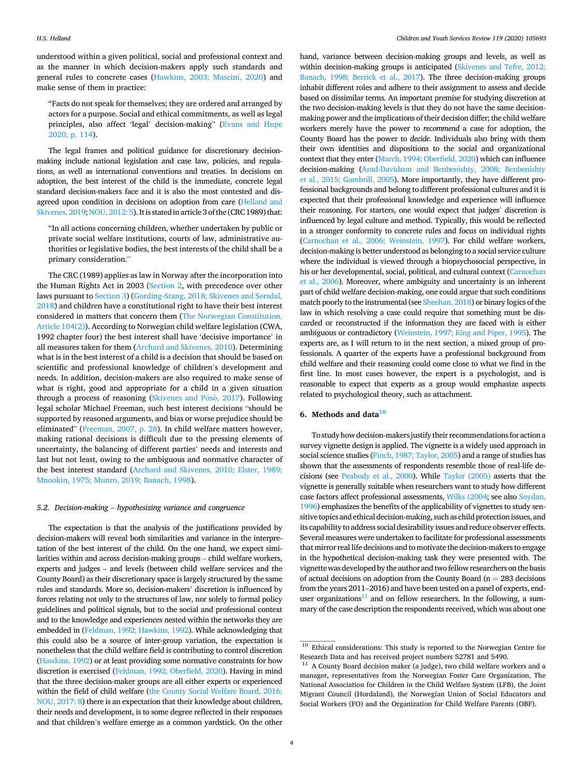understood within a given political, social and professional context and as the manner in which decision-makers apply such standards and general rules to concrete cases [\(Hawkins, 2003; Mascini, 2020\)](#page-10-0) and make sense of them in practice:

"Facts do not speak for themselves; they are ordered and arranged by actors for a purpose. Social and ethical commitments, as well as legal principles, also affect 'legal' decision-making" [\(Evans and Hupe](#page-9-0)  [2020, p. 114\)](#page-9-0).

The legal frames and political guidance for discretionary decisionmaking include national legislation and case law, policies, and regulations, as well as international conventions and treaties. In decisions on adoption, the best interest of the child is the immediate, concrete legal standard decision-makers face and it is also the most contested and disagreed upon condition in decisions on adoption from care [\(Helland and](#page-10-0)  [Skivenes, 2019; NOU, 2012: 5](#page-10-0)). It is stated in article 3 of the (CRC 1989) that:

"In all actions concerning children, whether undertaken by public or private social welfare institutions, courts of law, administrative authorities or legislative bodies, the best interests of the child shall be a primary consideration."

The CRC (1989) applies as law in Norway after the incorporation into the Human Rights Act in 2003 ([Section 2,](#page-1-0) with precedence over other laws pursuant to [Section 3](#page-1-0)) ([Gording-Stang, 2018; Skivenes and S](#page-9-0)ørsdal, [2018\)](#page-9-0) and children have a constitutional right to have their best interest considered in matters that concern them [\(The Norwegian Constitution,](#page-11-0)  [Article 104\(2\)\)](#page-11-0). According to Norwegian child welfare legislation (CWA, 1992 chapter four) the best interest shall have 'decisive importance' in all measures taken for them [\(Archard and Skivenes, 2010](#page-9-0)). Determining what is in the best interest of a child is a decision that should be based on scientific and professional knowledge of children's development and needs. In addition, decision-makers are also required to make sense of what is right, good and appropriate for a child in a given situation through a process of reasoning ([Skivenes and Pos](#page-10-0)o,  $2017$ ). Following legal scholar Michael Freeman, such best interest decisions "should be supported by reasoned arguments, and bias or worse prejudice should be eliminated" [\(Freeman, 2007, p. 28\)](#page-9-0). In child welfare matters however, making rational decisions is difficult due to the pressing elements of uncertainty, the balancing of different parties' needs and interests and last but not least, owing to the ambiguous and normative character of the best interest standard ([Archard and Skivenes, 2010; Elster, 1989;](#page-9-0)  [Mnookin, 1975; Munro, 2019; Banach, 1998](#page-9-0)).

#### *5.2. Decision-making* – *hypothesizing variance and congruence*

The expectation is that the analysis of the justifications provided by decision-makers will reveal both similarities and variance in the interpretation of the best interest of the child. On the one hand, we expect similarities within and across decision-making groups – child welfare workers, experts and judges – and levels (between child welfare services and the County Board) as their discretionary space is largely structured by the same rules and standards. More so, decision-makers' discretion is influenced by forces relating not only to the structures of law, nor solely to formal policy guidelines and political signals, but to the social and professional context and to the knowledge and experiences nested within the networks they are embedded in ([Feldman, 1992; Hawkins, 1992\)](#page-9-0). While acknowledging that this could also be a source of inter-group variation, the expectation is nonetheless that the child welfare field is contributing to control discretion [\(Hawkins, 1992\)](#page-10-0) or at least providing some normative constraints for how discretion is exercised [\(Feldman, 1992; Oberfield, 2020](#page-9-0)). Having in mind that the three decision-maker groups are all either experts or experienced within the field of child welfare (the County Social Welfare Board, 2016; [NOU, 2017: 8\)](#page-9-0) there is an expectation that their knowledge about children, their needs and development, is to some degree reflected in their responses and that children's welfare emerge as a common yardstick. On the other

hand, variance between decision-making groups and levels, as well as within decision-making groups is anticipated (Skivenes and Tefre, 2012; [Banach, 1998; Berrick et al., 2017](#page-10-0)). The three decision-making groups inhabit different roles and adhere to their assignment to assess and decide based on dissimilar terms. An important premise for studying discretion at the two decision-making levels is that they do not have the same decisionmaking power and the implications of their decision differ; the child welfare workers merely have the power to *recommend* a case for adoption, the County Board has the power to *decide*. Individuals also bring with them their own identities and dispositions to the social and organizational context that they enter ([March, 1994; Oberfield, 2020\)](#page-10-0) which can influence decision-making ([Arad-Davidzon and Benbenishty, 2008; Benbenishty](#page-9-0)  [et al., 2015; Gambrill, 2005\)](#page-9-0). More importantly, they have different professional backgrounds and belong to different professional cultures and it is expected that their professional knowledge and experience will influence their reasoning. For starters, one would expect that judges' discretion is influenced by legal culture and method. Typically, this would be reflected in a stronger conformity to concrete rules and focus on individual rights [\(Carnochan et al., 2006; Weinstein, 1997\)](#page-9-0). For child welfare workers, decision-making is better understood as belonging to a social service culture where the individual is viewed through a biopsychosocial perspective, in his or her developmental, social, political, and cultural context [\(Carnochan](#page-9-0)  [et al., 2006](#page-9-0)). Moreover, where ambiguity and uncertainty is an inherent part of child welfare decision-making, one could argue that such conditions match poorly to the instrumental (see [Sheehan, 2018\)](#page-10-0) or binary logics of the law in which resolving a case could require that something must be discarded or reconstructed if the information they are faced with is either ambiguous or contradictory [\(Weinstein, 1997; King and Piper, 1995\)](#page-11-0). The experts are, as I will return to in the next section, a mixed group of professionals. A quarter of the experts have a professional background from child welfare and their reasoning could come close to what we find in the first line. In most cases however, the expert is a psychologist, and is reasonable to expect that experts as a group would emphasize aspects related to psychological theory, such as attachment.

# **6. Methods and data<sup>10</sup>**

To study how decision-makers justify their recommendations for action a survey vignette design is applied. The vignette is a widely used approach in social science studies [\(Finch, 1987; Taylor, 2005\)](#page-9-0) and a range of studies has shown that the assessments of respondents resemble those of real-life decisions (see [Peabody et al., 2000\)](#page-10-0). While [Taylor \(2005\)](#page-10-0) asserts that the vignette is generally suitable when researchers want to study how different case factors affect professional assessments, [Wilks \(2004;](#page-11-0) see also [Soydan,](#page-10-0)  [1996\)](#page-10-0) emphasizes the benefits of the applicability of vignettes to study sensitive topics and ethical decision-making, such as child protection issues, and its capability to address social desirability issues and reduce observer effects. Several measures were undertaken to facilitate for professional assessments that mirror real life decisions and to motivate the decision-makers to engage in the hypothetical decision-making task they were presented with. The vignette was developed by the author and two fellow researchers on the basis of actual decisions on adoption from the County Board ( $n = 283$  decisions from the years 2011–2016) and have been tested on a panel of experts, enduser organizations $11$  and on fellow researchers. In the following, a summary of the case description the respondents received, which was about one

<sup>&</sup>lt;sup>10</sup> Ethical considerations: This study is reported to the Norwegian Centre for

Research Data and has received project numbers 52781 and 5490.<br> $^{11}$  A County Board decision maker (a judge), two child welfare workers and a manager, representatives from the Norwegian Foster Care Organization, The National Association for Children in the Child Welfare System (LFB), the Joint Migrant Council (Hordaland), the Norwegian Union of Social Educators and Social Workers (FO) and the Organization for Child Welfare Parents (OBF).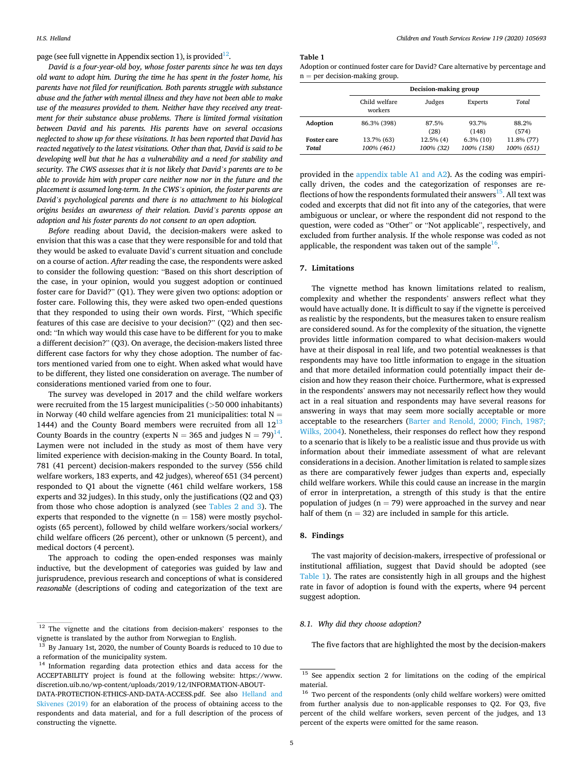page (see full vignette in Appendix section 1), is provided  $12$ .

*David is a four-year-old boy, whose foster parents since he was ten days old want to adopt him. During the time he has spent in the foster home, his parents have not filed for reunification. Both parents struggle with substance abuse and the father with mental illness and they have not been able to make use of the measures provided to them. Neither have they received any treatment for their substance abuse problems. There is limited formal visitation between David and his parents. His parents have on several occasions neglected to show up for these visitations. It has been reported that David has reacted negatively to the latest visitations. Other than that, David is said to be developing well but that he has a vulnerability and a need for stability and security. The CWS assesses that it is not likely that David's parents are to be able to provide him with proper care neither now nor in the future and the placement is assumed long-term. In the CWS's opinion, the foster parents are David's psychological parents and there is no attachment to his biological origins besides an awareness of their relation. David's parents oppose an adoption and his foster parents do not consent to an open adoption.* 

*Before* reading about David, the decision-makers were asked to envision that this was a case that they were responsible for and told that they would be asked to evaluate David's current situation and conclude on a course of action. *After* reading the case, the respondents were asked to consider the following question: "Based on this short description of the case, in your opinion, would you suggest adoption or continued foster care for David?" (Q1). They were given two options: adoption or foster care. Following this, they were asked two open-ended questions that they responded to using their own words. First, "Which specific features of this case are decisive to your decision?" (Q2) and then second: "In which way would this case have to be different for you to make a different decision?" (Q3). On average, the decision-makers listed three different case factors for why they chose adoption. The number of factors mentioned varied from one to eight. When asked what would have to be different, they listed one consideration on average. The number of considerations mentioned varied from one to four.

The survey was developed in 2017 and the child welfare workers were recruited from the 15 largest municipalities (*>*50 000 inhabitants) in Norway (40 child welfare agencies from 21 municipalities: total  $N =$ 1444) and the County Board members were recruited from all  $12^{13}$ County Boards in the country (experts  $N = 365$  and judges  $N = 79$ )<sup>14</sup>. Laymen were not included in the study as most of them have very limited experience with decision-making in the County Board. In total, 781 (41 percent) decision-makers responded to the survey (556 child welfare workers, 183 experts, and 42 judges), whereof 651 (34 percent) responded to Q1 about the vignette (461 child welfare workers, 158 experts and 32 judges). In this study, only the justifications (Q2 and Q3) from those who chose adoption is analyzed (see [Tables 2 and 3](#page-6-0)). The experts that responded to the vignette  $(n = 158)$  were mostly psychologists (65 percent), followed by child welfare workers/social workers/ child welfare officers (26 percent), other or unknown (5 percent), and medical doctors (4 percent).

The approach to coding the open-ended responses was mainly inductive*,* but the development of categories was guided by law and jurisprudence, previous research and conceptions of what is considered *reasonable* (descriptions of coding and categorization of the text are

# **Table 1**

| Adoption or continued foster care for David? Care alternative by percentage and |  |
|---------------------------------------------------------------------------------|--|
| $n = per decision-making group.$                                                |  |

|                 | Decision-making group    |              |                |            |  |
|-----------------|--------------------------|--------------|----------------|------------|--|
|                 | Child welfare<br>workers | Judges       | <b>Experts</b> | Total      |  |
| <b>Adoption</b> | 86.3% (398)              | 87.5%        | 93.7%          | 88.2%      |  |
|                 |                          | (28)         | (148)          | (574)      |  |
| Foster care     | 13.7% (63)               | $12.5\%$ (4) | $6.3\%$ (10)   | 11.8% (77) |  |
| Total           | 100% (461)               | 100% (32)    | 100% (158)     | 100% (651) |  |

provided in the appendix table A1 and A2). As the coding was empirically driven, the codes and the categorization of responses are reflections of how the respondents formulated their answers<sup>15</sup>. All text was coded and excerpts that did not fit into any of the categories, that were ambiguous or unclear, or where the respondent did not respond to the question, were coded as "Other" or "Not applicable", respectively, and excluded from further analysis. If the whole response was coded as not applicable, the respondent was taken out of the sample<sup>16</sup>.

# **7. Limitations**

The vignette method has known limitations related to realism, complexity and whether the respondents' answers reflect what they would have actually done. It is difficult to say if the vignette is perceived as realistic by the respondents, but the measures taken to ensure realism are considered sound. As for the complexity of the situation, the vignette provides little information compared to what decision-makers would have at their disposal in real life, and two potential weaknesses is that respondents may have too little information to engage in the situation and that more detailed information could potentially impact their decision and how they reason their choice. Furthermore, what is expressed in the respondents' answers may not necessarily reflect how they would act in a real situation and respondents may have several reasons for answering in ways that may seem more socially acceptable or more acceptable to the researchers ([Barter and Renold, 2000; Finch, 1987;](#page-9-0)  [Wilks, 2004\)](#page-9-0). Nonetheless, their responses do reflect how they respond to a scenario that is likely to be a realistic issue and thus provide us with information about their immediate assessment of what are relevant considerations in a decision. Another limitation is related to sample sizes as there are comparatively fewer judges than experts and, especially child welfare workers. While this could cause an increase in the margin of error in interpretation, a strength of this study is that the entire population of judges ( $n = 79$ ) were approached in the survey and near half of them  $(n = 32)$  are included in sample for this article.

## **8. Findings**

The vast majority of decision-makers, irrespective of professional or institutional affiliation, suggest that David should be adopted (see Table 1). The rates are consistently high in all groups and the highest rate in favor of adoption is found with the experts, where 94 percent suggest adoption.

#### *8.1. Why did they choose adoption?*

The five factors that are highlighted the most by the decision-makers

 $12$  The vignette and the citations from decision-makers' responses to the vignette is translated by the author from Norwegian to English.<br> $13$  By January 1st, 2020, the number of County Boards is reduced to 10 due to

a reformation of the municipality system.  $^{\rm 14}$  Information regarding data protection ethics and data access for the

ACCEPTABILITY project is found at the following website: https://www. discretion.uib.no/wp-content/uploads/2019/12/INFORMATION-ABOUT-

DATA-PROTECTION-ETHICS-AND-DATA-ACCESS.pdf. See also [Helland and](#page-10-0)  [Skivenes \(2019\)](#page-10-0) for an elaboration of the process of obtaining access to the respondents and data material, and for a full description of the process of constructing the vignette.

<sup>&</sup>lt;sup>15</sup> See appendix section 2 for limitations on the coding of the empirical material.

<sup>&</sup>lt;sup>16</sup> Two percent of the respondents (only child welfare workers) were omitted from further analysis due to non-applicable responses to Q2. For Q3, five percent of the child welfare workers, seven percent of the judges, and 13 percent of the experts were omitted for the same reason.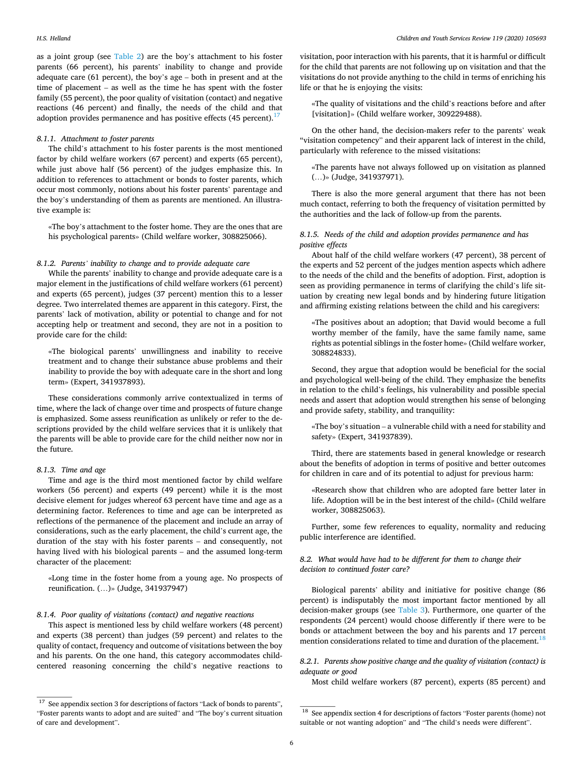as a joint group (see [Table 2](#page-6-0)) are the boy's attachment to his foster parents (66 percent), his parents' inability to change and provide adequate care (61 percent), the boy's age – both in present and at the time of placement – as well as the time he has spent with the foster family (55 percent), the poor quality of visitation (contact) and negative reactions (46 percent) and finally, the needs of the child and that adoption provides permanence and has positive effects (45 percent). $^{17}$ 

## *8.1.1. Attachment to foster parents*

The child's attachment to his foster parents is the most mentioned factor by child welfare workers (67 percent) and experts (65 percent), while just above half (56 percent) of the judges emphasize this. In addition to references to attachment or bonds to foster parents, which occur most commonly, notions about his foster parents' parentage and the boy's understanding of them as parents are mentioned. An illustrative example is:

«The boy's attachment to the foster home. They are the ones that are his psychological parents» (Child welfare worker, 308825066).

#### *8.1.2. Parents' inability to change and to provide adequate care*

While the parents' inability to change and provide adequate care is a major element in the justifications of child welfare workers (61 percent) and experts (65 percent), judges (37 percent) mention this to a lesser degree. Two interrelated themes are apparent in this category. First, the parents' lack of motivation, ability or potential to change and for not accepting help or treatment and second, they are not in a position to provide care for the child:

«The biological parents' unwillingness and inability to receive treatment and to change their substance abuse problems and their inability to provide the boy with adequate care in the short and long term» (Expert, 341937893).

These considerations commonly arrive contextualized in terms of time, where the lack of change over time and prospects of future change is emphasized. Some assess reunification as unlikely or refer to the descriptions provided by the child welfare services that it is unlikely that the parents will be able to provide care for the child neither now nor in the future.

#### *8.1.3. Time and age*

Time and age is the third most mentioned factor by child welfare workers (56 percent) and experts (49 percent) while it is the most decisive element for judges whereof 63 percent have time and age as a determining factor. References to time and age can be interpreted as reflections of the permanence of the placement and include an array of considerations, such as the early placement, the child's current age, the duration of the stay with his foster parents – and consequently, not having lived with his biological parents – and the assumed long-term character of the placement:

«Long time in the foster home from a young age. No prospects of reunification. (…)» (Judge, 341937947)

## *8.1.4. Poor quality of visitations (contact) and negative reactions*

This aspect is mentioned less by child welfare workers (48 percent) and experts (38 percent) than judges (59 percent) and relates to the quality of contact, frequency and outcome of visitations between the boy and his parents. On the one hand, this category accommodates childcentered reasoning concerning the child's negative reactions to

visitation, poor interaction with his parents, that it is harmful or difficult for the child that parents are not following up on visitation and that the visitations do not provide anything to the child in terms of enriching his life or that he is enjoying the visits:

«The quality of visitations and the child's reactions before and after [visitation]» (Child welfare worker, 309229488).

On the other hand, the decision-makers refer to the parents' weak "visitation competency" and their apparent lack of interest in the child, particularly with reference to the missed visitations:

«The parents have not always followed up on visitation as planned (…)» (Judge, 341937971).

There is also the more general argument that there has not been much contact, referring to both the frequency of visitation permitted by the authorities and the lack of follow-up from the parents.

# *8.1.5. Needs of the child and adoption provides permanence and has positive effects*

About half of the child welfare workers (47 percent), 38 percent of the experts and 52 percent of the judges mention aspects which adhere to the needs of the child and the benefits of adoption. First, adoption is seen as providing permanence in terms of clarifying the child's life situation by creating new legal bonds and by hindering future litigation and affirming existing relations between the child and his caregivers:

«The positives about an adoption; that David would become a full worthy member of the family, have the same family name, same rights as potential siblings in the foster home» (Child welfare worker, 308824833).

Second, they argue that adoption would be beneficial for the social and psychological well-being of the child. They emphasize the benefits in relation to the child's feelings, his vulnerability and possible special needs and assert that adoption would strengthen his sense of belonging and provide safety, stability, and tranquility:

«The boy's situation – a vulnerable child with a need for stability and safety» (Expert, 341937839).

Third, there are statements based in general knowledge or research about the benefits of adoption in terms of positive and better outcomes for children in care and of its potential to adjust for previous harm:

«Research show that children who are adopted fare better later in life. Adoption will be in the best interest of the child» (Child welfare worker, 308825063).

Further, some few references to equality, normality and reducing public interference are identified.

# *8.2. What would have had to be different for them to change their decision to continued foster care?*

Biological parents' ability and initiative for positive change (86 percent) is indisputably the most important factor mentioned by all decision-maker groups (see [Table 3](#page-6-0)). Furthermore, one quarter of the respondents (24 percent) would choose differently if there were to be bonds or attachment between the boy and his parents and 17 percent mention considerations related to time and duration of the placement.<sup>18</sup>

*8.2.1. Parents show positive change and the quality of visitation (contact) is adequate or good* 

Most child welfare workers (87 percent), experts (85 percent) and

 $17$  See appendix section 3 for descriptions of factors "Lack of bonds to parents", "Foster parents wants to adopt and are suited" and "The boy's current situation of care and development".

<sup>18</sup> See appendix section 4 for descriptions of factors "Foster parents (home) not suitable or not wanting adoption" and "The child's needs were different".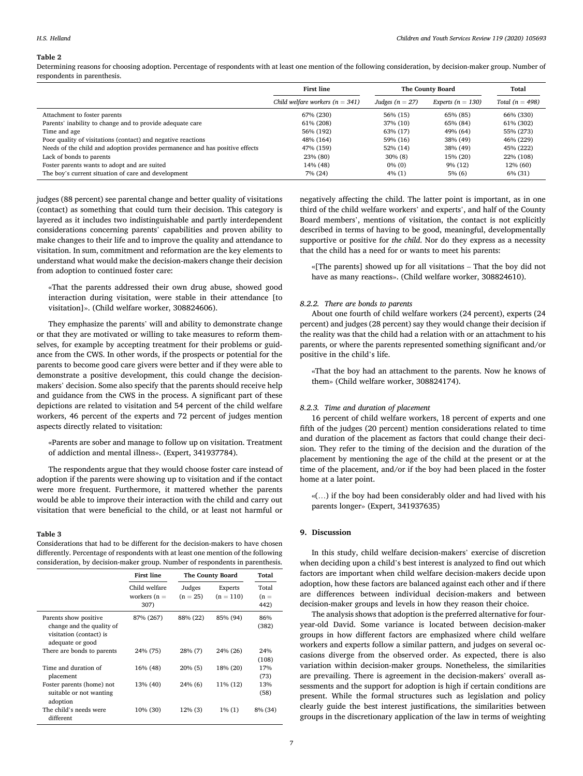#### <span id="page-6-0"></span>**Table 2**

Determining reasons for choosing adoption. Percentage of respondents with at least one mention of the following consideration, by decision-maker group. Number of respondents in parenthesis.

|                                                                              | <b>First line</b>                 | The County Board    |                     | Total               |
|------------------------------------------------------------------------------|-----------------------------------|---------------------|---------------------|---------------------|
|                                                                              | Child welfare workers $(n = 341)$ | Judges ( $n = 27$ ) | Experts $(n = 130)$ | Total ( $n = 498$ ) |
| Attachment to foster parents                                                 | 67% (230)                         | 56% (15)            | 65% (85)            | 66% (330)           |
| Parents' inability to change and to provide adequate care                    | 61\% (208)                        | 37% (10)            | 65% (84)            | 61% (302)           |
| Time and age                                                                 | 56% (192)                         | 63% (17)            | 49% (64)            | 55% (273)           |
| Poor quality of visitations (contact) and negative reactions                 | 48% (164)                         | 59% (16)            | 38% (49)            | 46% (229)           |
| Needs of the child and adoption provides permanence and has positive effects | 47% (159)                         | 52% (14)            | 38% (49)            | 45% (222)           |
| Lack of bonds to parents                                                     | 23% (80)                          | $30\%$ (8)          | 15% (20)            | 22% (108)           |
| Foster parents wants to adopt and are suited                                 | 14% (48)                          | $0\%$ (0)           | 9% (12)             | 12% (60)            |
| The boy's current situation of care and development                          | 7% (24)                           | $4\%$ (1)           | $5\%$ (6)           | 6% (31)             |

judges (88 percent) see parental change and better quality of visitations (contact) as something that could turn their decision. This category is layered as it includes two indistinguishable and partly interdependent considerations concerning parents' capabilities and proven ability to make changes to their life and to improve the quality and attendance to visitation. In sum, commitment and reformation are the key elements to understand what would make the decision-makers change their decision from adoption to continued foster care:

«That the parents addressed their own drug abuse, showed good interaction during visitation, were stable in their attendance [to visitation]». (Child welfare worker, 308824606).

They emphasize the parents' will and ability to demonstrate change or that they are motivated or willing to take measures to reform themselves, for example by accepting treatment for their problems or guidance from the CWS. In other words, if the prospects or potential for the parents to become good care givers were better and if they were able to demonstrate a positive development, this could change the decisionmakers' decision. Some also specify that the parents should receive help and guidance from the CWS in the process. A significant part of these depictions are related to visitation and 54 percent of the child welfare workers, 46 percent of the experts and 72 percent of judges mention aspects directly related to visitation:

«Parents are sober and manage to follow up on visitation. Treatment of addiction and mental illness». (Expert, 341937784).

The respondents argue that they would choose foster care instead of adoption if the parents were showing up to visitation and if the contact were more frequent. Furthermore, it mattered whether the parents would be able to improve their interaction with the child and carry out visitation that were beneficial to the child, or at least not harmful or

#### **Table 3**

Considerations that had to be different for the decision-makers to have chosen differently. Percentage of respondents with at least one mention of the following consideration, by decision-maker group. Number of respondents in parenthesis.

|                                                                                                   | <b>First line</b>                       | <b>The County Board</b> |                        | Total                   |
|---------------------------------------------------------------------------------------------------|-----------------------------------------|-------------------------|------------------------|-------------------------|
|                                                                                                   | Child welfare<br>workers $(n =$<br>307) | Judges<br>$(n = 25)$    | Experts<br>$(n = 110)$ | Total<br>$(n =$<br>442) |
| Parents show positive<br>change and the quality of<br>visitation (contact) is<br>adequate or good | 87% (267)                               | 88% (22)                | 85% (94)               | 86%<br>(382)            |
| There are bonds to parents                                                                        | 24% (75)                                | 28% (7)                 | 24% (26)               | 24%<br>(108)            |
| Time and duration of<br>placement                                                                 | 16% (48)                                | $20\%$ (5)              | 18% (20)               | 17%<br>(73)             |
| Foster parents (home) not<br>suitable or not wanting<br>adoption                                  | 13% (40)                                | 24% (6)                 | 11% (12)               | 13%<br>(58)             |
| The child's needs were<br>different                                                               | 10% (30)                                | 12% (3)                 | $1\%$ (1)              | 8% (34)                 |

negatively affecting the child. The latter point is important, as in one third of the child welfare workers' and experts', and half of the County Board members', mentions of visitation, the contact is not explicitly described in terms of having to be good, meaningful, developmentally supportive or positive for *the child*. Nor do they express as a necessity that the child has a need for or wants to meet his parents:

«[The parents] showed up for all visitations – That the boy did not have as many reactions». (Child welfare worker, 308824610).

#### *8.2.2. There are bonds to parents*

About one fourth of child welfare workers (24 percent), experts (24 percent) and judges (28 percent) say they would change their decision if the reality was that the child had a relation with or an attachment to his parents, or where the parents represented something significant and/or positive in the child's life.

«That the boy had an attachment to the parents. Now he knows of them» (Child welfare worker, 308824174).

#### *8.2.3. Time and duration of placement*

16 percent of child welfare workers, 18 percent of experts and one fifth of the judges (20 percent) mention considerations related to time and duration of the placement as factors that could change their decision. They refer to the timing of the decision and the duration of the placement by mentioning the age of the child at the present or at the time of the placement, and/or if the boy had been placed in the foster home at a later point.

«(…) if the boy had been considerably older and had lived with his parents longer» (Expert, 341937635)

#### **9. Discussion**

In this study, child welfare decision-makers' exercise of discretion when deciding upon a child's best interest is analyzed to find out which factors are important when child welfare decision-makers decide upon adoption, how these factors are balanced against each other and if there are differences between individual decision-makers and between decision-maker groups and levels in how they reason their choice.

The analysis shows that adoption is the preferred alternative for fouryear-old David. Some variance is located between decision-maker groups in how different factors are emphasized where child welfare workers and experts follow a similar pattern, and judges on several occasions diverge from the observed order. As expected, there is also variation within decision-maker groups. Nonetheless, the similarities are prevailing. There is agreement in the decision-makers' overall assessments and the support for adoption is high if certain conditions are present. While the formal structures such as legislation and policy clearly guide the best interest justifications, the similarities between groups in the discretionary application of the law in terms of weighting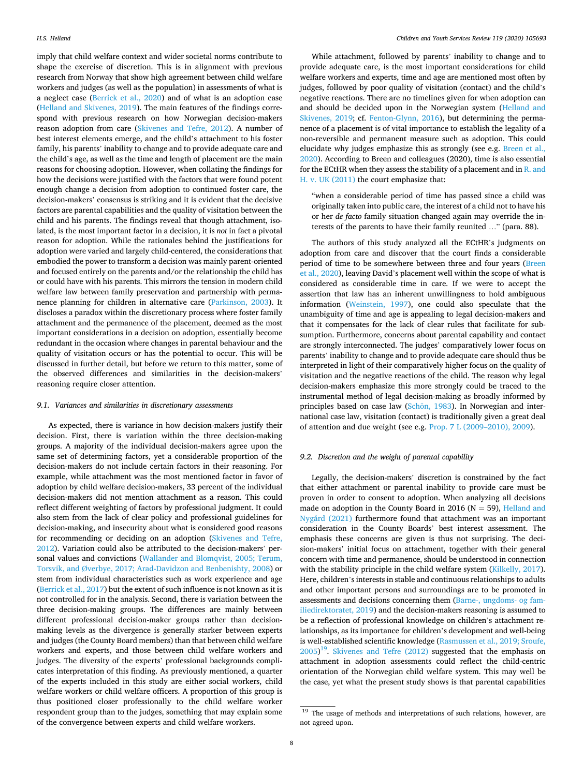imply that child welfare context and wider societal norms contribute to shape the exercise of discretion. This is in alignment with previous research from Norway that show high agreement between child welfare workers and judges (as well as the population) in assessments of what is a neglect case ([Berrick et al., 2020](#page-9-0)) and of what is an adoption case ([Helland and Skivenes, 2019\)](#page-10-0). The main features of the findings correspond with previous research on how Norwegian decision-makers reason adoption from care ([Skivenes and Tefre, 2012](#page-10-0)). A number of best interest elements emerge, and the child's attachment to his foster family, his parents' inability to change and to provide adequate care and the child's age, as well as the time and length of placement are the main reasons for choosing adoption. However, when collating the findings for how the decisions were justified with the factors that were found potent enough change a decision from adoption to continued foster care, the decision-makers' consensus is striking and it is evident that the decisive factors are parental capabilities and the quality of visitation between the child and his parents. The findings reveal that though attachment, isolated, is the most important factor in a decision, it is *not* in fact a pivotal reason for adoption. While the rationales behind the justifications for adoption were varied and largely child-centered, the considerations that embodied the power to transform a decision was mainly parent-oriented and focused entirely on the parents and/or the relationship the child has or could have with his parents. This mirrors the tension in modern child welfare law between family preservation and partnership with permanence planning for children in alternative care ([Parkinson, 2003\)](#page-10-0). It discloses a paradox within the discretionary process where foster family attachment and the permanence of the placement, deemed as the most important considerations in a decision on adoption, essentially become redundant in the occasion where changes in parental behaviour and the quality of visitation occurs or has the potential to occur. This will be discussed in further detail, but before we return to this matter, some of the observed differences and similarities in the decision-makers' reasoning require closer attention.

#### *9.1. Variances and similarities in discretionary assessments*

As expected, there is variance in how decision-makers justify their decision. First, there is variation within the three decision-making groups. A majority of the individual decision-makers agree upon the same set of determining factors, yet a considerable proportion of the decision-makers do not include certain factors in their reasoning. For example, while attachment was the most mentioned factor in favor of adoption by child welfare decision-makers, 33 percent of the individual decision-makers did not mention attachment as a reason. This could reflect different weighting of factors by professional judgment. It could also stem from the lack of clear policy and professional guidelines for decision-making, and insecurity about what is considered good reasons for recommending or deciding on an adoption ([Skivenes and Tefre,](#page-10-0)  [2012\)](#page-10-0). Variation could also be attributed to the decision-makers' personal values and convictions [\(Wallander and Blomqvist, 2005; Terum,](#page-11-0)  Torsvik, and Ø[verbye, 2017; Arad-Davidzon and Benbenishty, 2008](#page-11-0)) or stem from individual characteristics such as work experience and age ([Berrick et al., 2017](#page-9-0)) but the extent of such influence is not known as it is not controlled for in the analysis. Second, there is variation between the three decision-making groups. The differences are mainly between different professional decision-maker groups rather than decisionmaking levels as the divergence is generally starker between experts and judges (the County Board members) than that between child welfare workers and experts, and those between child welfare workers and judges. The diversity of the experts' professional backgrounds complicates interpretation of this finding. As previously mentioned, a quarter of the experts included in this study are either social workers, child welfare workers or child welfare officers. A proportion of this group is thus positioned closer professionally to the child welfare worker respondent group than to the judges, something that may explain some of the convergence between experts and child welfare workers.

While attachment, followed by parents' inability to change and to provide adequate care, is the most important considerations for child welfare workers and experts, time and age are mentioned most often by judges, followed by poor quality of visitation (contact) and the child's negative reactions. There are no timelines given for when adoption can and should be decided upon in the Norwegian system [\(Helland and](#page-10-0)  [Skivenes, 2019;](#page-10-0) cf. [Fenton-Glynn, 2016](#page-9-0)), but determining the permanence of a placement is of vital importance to establish the legality of a non-reversible and permanent measure such as adoption. This could elucidate why judges emphasize this as strongly (see e.g. [Breen et al.,](#page-9-0)  [2020\)](#page-9-0). According to Breen and colleagues (2020), time is also essential for the ECtHR when they assess the stability of a placement and in [R. and](#page-10-0)  [H. v. UK \(2011\)](#page-10-0) the court emphasize that:

"when a considerable period of time has passed since a child was originally taken into public care, the interest of a child not to have his or her *de facto* family situation changed again may override the interests of the parents to have their family reunited …" (para. 88).

The authors of this study analyzed all the ECtHR's judgments on adoption from care and discover that the court finds a considerable period of time to be somewhere between three and four years [\(Breen](#page-9-0)  [et al., 2020\)](#page-9-0), leaving David's placement well within the scope of what is considered as considerable time in care. If we were to accept the assertion that law has an inherent unwillingness to hold ambiguous information ([Weinstein, 1997](#page-11-0)), one could also speculate that the unambiguity of time and age is appealing to legal decision-makers and that it compensates for the lack of clear rules that facilitate for subsumption. Furthermore, concerns about parental capability and contact are strongly interconnected. The judges' comparatively lower focus on parents' inability to change and to provide adequate care should thus be interpreted in light of their comparatively higher focus on the quality of visitation and the negative reactions of the child. The reason why legal decision-makers emphasize this more strongly could be traced to the instrumental method of legal decision-making as broadly informed by principles based on case law (Schön, 1983). In Norwegian and international case law, visitation (contact) is traditionally given a great deal of attention and due weight (see e.g. [Prop. 7 L \(2009](#page-10-0)–2010), 2009).

#### *9.2. Discretion and the weight of parental capability*

Legally, the decision-makers' discretion is constrained by the fact that either attachment or parental inability to provide care must be proven in order to consent to adoption. When analyzing all decisions made on adoption in the County Board in 2016 ( $N = 59$ ), Helland and [Nygård \(2021\)](#page-10-0) furthermore found that attachment was an important consideration in the County Boards' best interest assessment. The emphasis these concerns are given is thus not surprising. The decision-makers' initial focus on attachment, together with their general concern with time and permanence, should be understood in connection with the stability principle in the child welfare system ([Kilkelly, 2017](#page-10-0)). Here, children's interests in stable and continuous relationships to adults and other important persons and surroundings are to be promoted in assessments and decisions concerning them ([Barne-, ungdoms- og fam](#page-9-0)[iliedirektoratet, 2019\)](#page-9-0) and the decision-makers reasoning is assumed to be a reflection of professional knowledge on children's attachment relationships, as its importance for children's development and well-being is well-established scientific knowledge [\(Rasmussen et al., 2019; Sroufe,](#page-10-0)   $2005$ <sup>19</sup>. [Skivenes and Tefre \(2012\)](#page-10-0) suggested that the emphasis on attachment in adoption assessments could reflect the child-centric orientation of the Norwegian child welfare system. This may well be the case, yet what the present study shows is that parental capabilities

<sup>&</sup>lt;sup>19</sup> The usage of methods and interpretations of such relations, however, are not agreed upon.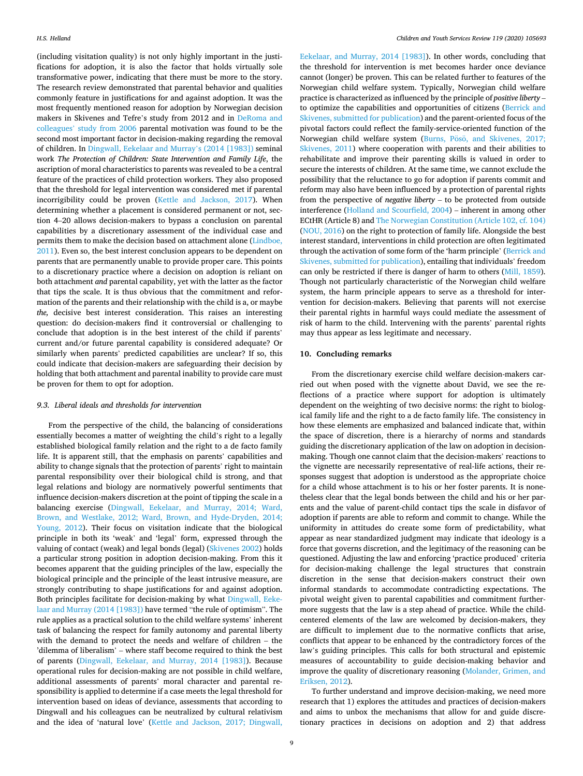(including visitation quality) is not only highly important in the justifications for adoption, it is also the factor that holds virtually sole transformative power, indicating that there must be more to the story. The research review demonstrated that parental behavior and qualities commonly feature in justifications for and against adoption. It was the most frequently mentioned reason for adoption by Norwegian decision makers in Skivenes and Tefre's study from 2012 and in [DeRoma and](#page-9-0)  colleagues' [study from 2006](#page-9-0) parental motivation was found to be the second most important factor in decision-making regarding the removal of children. In [Dingwall, Eekelaar and Murray](#page-9-0)'s (2014 [1983]) seminal work *The Protection of Children: State Intervention and Family Life*, the ascription of moral characteristics to parents was revealed to be a central feature of the practices of child protection workers. They also proposed that the threshold for legal intervention was considered met if parental incorrigibility could be proven [\(Kettle and Jackson, 2017](#page-10-0)). When determining whether a placement is considered permanent or not, section 4–20 allows decision-makers to bypass a conclusion on parental capabilities by a discretionary assessment of the individual case and permits them to make the decision based on attachment alone [\(Lindboe,](#page-10-0)  [2011\)](#page-10-0). Even so, the best interest conclusion appears to be dependent on parents that are permanently unable to provide proper care. This points to a discretionary practice where a decision on adoption is reliant on both attachment *and* parental capability, yet with the latter as the factor that tips the scale. It is thus obvious that the commitment and reformation of the parents and their relationship with the child is a, or maybe *the,* decisive best interest consideration. This raises an interesting question: do decision-makers find it controversial or challenging to conclude that adoption is in the best interest of the child if parents' current and/or future parental capability is considered adequate? Or similarly when parents' predicted capabilities are unclear? If so, this could indicate that decision-makers are safeguarding their decision by holding that both attachment and parental inability to provide care must be proven for them to opt for adoption.

#### *9.3. Liberal ideals and thresholds for intervention*

From the perspective of the child, the balancing of considerations essentially becomes a matter of weighting the child's right to a legally established biological family relation and the right to a de facto family life. It is apparent still, that the emphasis on parents' capabilities and ability to change signals that the protection of parents' right to maintain parental responsibility over their biological child is strong, and that legal relations and biology are normatively powerful sentiments that influence decision-makers discretion at the point of tipping the scale in a balancing exercise [\(Dingwall, Eekelaar, and Murray, 2014; Ward,](#page-9-0)  [Brown, and Westlake, 2012; Ward, Brown, and Hyde-Dryden, 2014;](#page-9-0)  [Young, 2012](#page-9-0)). Their focus on visitation indicate that the biological principle in both its 'weak' and 'legal' form, expressed through the valuing of contact (weak) and legal bonds (legal) [\(Skivenes 2002\)](#page-10-0) holds a particular strong position in adoption decision-making. From this it becomes apparent that the guiding principles of the law, especially the biological principle and the principle of the least intrusive measure, are strongly contributing to shape justifications for and against adoption. Both principles facilitate for decision-making by what [Dingwall, Eeke](#page-9-0)[laar and Murray \(2014 \[1983\]\)](#page-9-0) have termed "the rule of optimism". The rule applies as a practical solution to the child welfare systems' inherent task of balancing the respect for family autonomy and parental liberty with the demand to protect the needs and welfare of children – the 'dilemma of liberalism' – where staff become required to think the best of parents [\(Dingwall, Eekelaar, and Murray, 2014 \[1983\]](#page-9-0)). Because operational rules for decision-making are not possible in child welfare, additional assessments of parents' moral character and parental responsibility is applied to determine if a case meets the legal threshold for intervention based on ideas of deviance, assessments that according to Dingwall and his colleagues can be neutralized by cultural relativism and the idea of 'natural love' ([Kettle and Jackson, 2017; Dingwall,](#page-10-0) 

[Eekelaar, and Murray, 2014 \[1983\]](#page-10-0)). In other words, concluding that the threshold for intervention is met becomes harder once deviance cannot (longer) be proven. This can be related further to features of the Norwegian child welfare system. Typically, Norwegian child welfare practice is characterized as influenced by the principle of *positive liberty* – to optimize the capabilities and opportunities of citizens [\(Berrick and](#page-9-0)  [Skivenes, submitted for publication](#page-9-0)) and the parent-oriented focus of the pivotal factors could reflect the family-service-oriented function of the Norwegian child welfare system (Burns, Pösö, and Skivenes, 2017; [Skivenes, 2011](#page-9-0)) where cooperation with parents and their abilities to rehabilitate and improve their parenting skills is valued in order to secure the interests of children. At the same time, we cannot exclude the possibility that the reluctance to go for adoption if parents commit and reform may also have been influenced by a protection of parental rights from the perspective of *negative liberty* – to be protected from outside interference [\(Holland and Scourfield, 2004\)](#page-10-0) – inherent in among other ECtHR (Article 8) and [The Norwegian Constitution \(Article 102, cf. 104\)](#page-11-0)  ([NOU, 2016](#page-10-0)) on the right to protection of family life. Alongside the best interest standard, interventions in child protection are often legitimated through the activation of some form of the 'harm principle' [\(Berrick and](#page-9-0)  [Skivenes, submitted for publication\)](#page-9-0), entailing that individuals' freedom can only be restricted if there is danger of harm to others ([Mill, 1859](#page-10-0)). Though not particularly characteristic of the Norwegian child welfare system, the harm principle appears to serve as a threshold for intervention for decision-makers. Believing that parents will not exercise their parental rights in harmful ways could mediate the assessment of risk of harm to the child. Intervening with the parents' parental rights may thus appear as less legitimate and necessary.

## **10. Concluding remarks**

From the discretionary exercise child welfare decision-makers carried out when posed with the vignette about David, we see the reflections of a practice where support for adoption is ultimately dependent on the weighting of two decisive norms: the right to biological family life and the right to a de facto family life. The consistency in how these elements are emphasized and balanced indicate that, within the space of discretion, there is a hierarchy of norms and standards guiding the discretionary application of the law on adoption in decisionmaking. Though one cannot claim that the decision-makers' reactions to the vignette are necessarily representative of real-life actions, their responses suggest that adoption is understood as the appropriate choice for a child whose attachment is to his or her foster parents. It is nonetheless clear that the legal bonds between the child and his or her parents and the value of parent-child contact tips the scale in disfavor of adoption if parents are able to reform and commit to change. While the uniformity in attitudes do create some form of predictability, what appear as near standardized judgment may indicate that ideology is a force that governs discretion, and the legitimacy of the reasoning can be questioned. Adjusting the law and enforcing 'practice produced' criteria for decision-making challenge the legal structures that constrain discretion in the sense that decision-makers construct their own informal standards to accommodate contradicting expectations. The pivotal weight given to parental capabilities and commitment furthermore suggests that the law is a step ahead of practice. While the childcentered elements of the law are welcomed by decision-makers, they are difficult to implement due to the normative conflicts that arise, conflicts that appear to be enhanced by the contradictory forces of the law's guiding principles. This calls for both structural and epistemic measures of accountability to guide decision-making behavior and improve the quality of discretionary reasoning ([Molander, Grimen, and](#page-10-0)  [Eriksen, 2012](#page-10-0)).

To further understand and improve decision-making, we need more research that 1) explores the attitudes and practices of decision-makers and aims to unbox the mechanisms that allow for and guide discretionary practices in decisions on adoption and 2) that address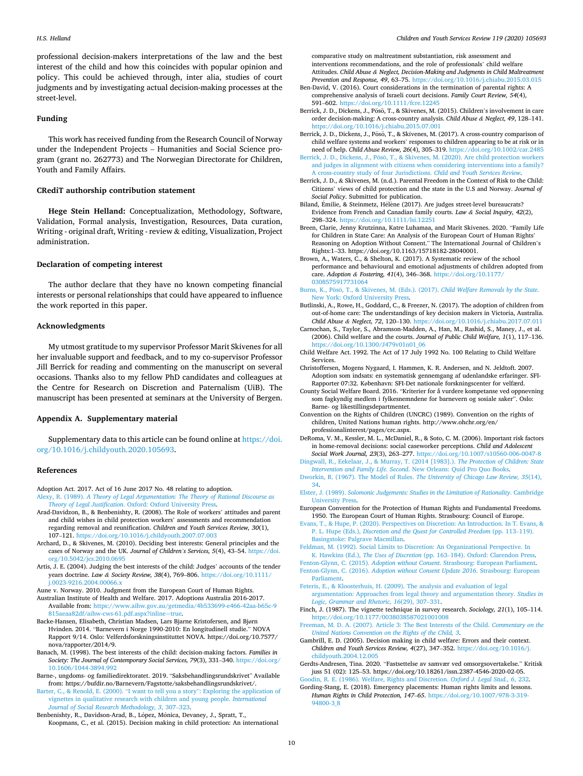*Children and Youth Services Review 119 (2020) 105693*

<span id="page-9-0"></span>professional decision-makers interpretations of the law and the best interest of the child and how this coincides with popular opinion and policy. This could be achieved through, inter alia, studies of court judgments and by investigating actual decision-making processes at the street-level.

# **Funding**

This work has received funding from the Research Council of Norway under the Independent Projects – Humanities and Social Science program (grant no. 262773) and The Norwegian Directorate for Children, Youth and Family Affairs.

# **CRediT authorship contribution statement**

**Hege Stein Helland:** Conceptualization, Methodology, Software, Validation, Formal analysis, Investigation, Resources, Data curation, Writing - original draft, Writing - review & editing, Visualization, Project administration.

## **Declaration of competing interest**

The author declare that they have no known competing financial interests or personal relationships that could have appeared to influence the work reported in this paper.

# **Acknowledgments**

My utmost gratitude to my supervisor Professor Marit Skivenes for all her invaluable support and feedback, and to my co-supervisor Professor Jill Berrick for reading and commenting on the manuscript on several occasions. Thanks also to my fellow PhD candidates and colleagues at the Centre for Research on Discretion and Paternalism (UiB). The manuscript has been presented at seminars at the University of Bergen.

#### **Appendix A. Supplementary material**

Supplementary data to this article can be found online at [https://doi.](https://doi.org/10.1016/j.childyouth.2020.105693)  [org/10.1016/j.childyouth.2020.105693](https://doi.org/10.1016/j.childyouth.2020.105693).

#### **References**

Adoption Act. 2017. Act of 16 June 2017 No. 48 relating to adoption.

Alexy, R. (1989). *[A Theory of Legal Argumentation: The Theory of Rational Discourse as](http://refhub.elsevier.com/S0190-7409(20)32116-2/h0010) Theory of Legal Justification*[. Oxford: Oxford University Press.](http://refhub.elsevier.com/S0190-7409(20)32116-2/h0010) Arad-Davidzon, B., & Benbenishty, R. (2008). The Role of workers' attitudes and parent

- and child wishes in child protection workers' assessments and recommendation regarding removal and reunification. *Children and Youth Services Review, 30*(1), 107–121. <https://doi.org/10.1016/j.childyouth.2007.07.003>
- Archard, D., & Skivenes, M. (2010). Deciding best interests: General principles and the cases of Norway and the UK. *Journal of Children's Services, 5*(4), 43–54. [https://doi.](https://doi.org/10.5042/jcs.2010.0695)  [org/10.5042/jcs.2010.0695](https://doi.org/10.5042/jcs.2010.0695)
- Artis, J. E. (2004). Judging the best interests of the child: Judges' accounts of the tender years doctrine. *Law & Society Review, 38*(4), 769–806. [https://doi.org/10.1111/](https://doi.org/10.1111/j.0023-9216.2004.00066.x)  [j.0023-9216.2004.00066.x](https://doi.org/10.1111/j.0023-9216.2004.00066.x)
- Aune v. Norway. 2010. Judgment from the European Court of Human Rights. Australian Institute of Health and Welfare. 2017. Adoptions Australia 2016-2017. Available from: [https://www.aihw.gov.au/getmedia/4b533699-e466-42aa-b65c-9](https://www.aihw.gov.au/getmedia/4b533699-e466-42aa-b65c-9815aeaa82df/aihw-cws-61.pdf.aspx?inline=true)  [815aeaa82df/aihw-cws-61.pdf.aspx?inline](https://www.aihw.gov.au/getmedia/4b533699-e466-42aa-b65c-9815aeaa82df/aihw-cws-61.pdf.aspx?inline=true)=true.
- Backe-Hansen, Elisabeth, Christian Madsen, Lars Bjarne Kristofersen, and Bjørn Hvinden. 2014. "Barnevern i Norge 1990-2010: En longitudinell studie." NOVA Rapport 9/14. Oslo: Velferdsforskningsinstituttet NOVA. https://doi.org/10.7577/ nova/rapporter/2014/9.
- Banach, M. (1998). The best interests of the child: decision-making factors. *Families in Society: The Journal of Contemporary Social Services, 79*(3), 331–340. [https://doi.org/](https://doi.org/10.1606/1044-3894.992)  [10.1606/1044-3894.992](https://doi.org/10.1606/1044-3894.992)
- Barne-, ungdoms- og familiedirektoratet. 2019. "Saksbehandlingsrundskrivet" Available from: https://bufdir.no/Barnevern/Fagstotte/saksbehandlingsrundskrivet/.
- [Barter, C., & Renold, E. \(2000\).](http://refhub.elsevier.com/S0190-7409(20)32116-2/h0055) "I want to tell you a story": Exploring the application of [vignettes in qualitative research with children and young people.](http://refhub.elsevier.com/S0190-7409(20)32116-2/h0055) *International [Journal of Social Research Methodology, 3](http://refhub.elsevier.com/S0190-7409(20)32116-2/h0055)*, 307–323.
- Benbenishty, R., Davidson-Arad, B., López, Mónica, Devaney, J., Spratt, T., Koopmans, C., et al. (2015). Decision making in child protection: An international

comparative study on maltreatment substantiation, risk assessment and interventions recommendations, and the role of professionals' child welfare Attitudes. *Child Abuse & Neglect, Decision-Making and Judgments in Child Maltreatment Prevention and Response, 49*, 63–75.<https://doi.org/10.1016/j.chiabu.2015.03.015>

- Ben-David, V. (2016). Court considerations in the termination of parental rights: A comprehensive analysis of Israeli court decisions. *Family Court Review, 54*(4), 591–602. <https://doi.org/10.1111/fcre.12245>
- Berrick, J. D., Dickens, J., Pösö, T., & Skivenes, M. (2015). Children's involvement in care order decision-making: A cross-country analysis. *Child Abuse & Neglect, 49*, 128–141. <https://doi.org/10.1016/j.chiabu.2015.07.001>
- Berrick, J. D., Dickens, J., Pösö, T., & Skivenes, M. (2017). A cross-country comparison of child welfare systems and workers' responses to children appearing to be at risk or in need of help. *Child Abuse Review, 26*(4), 305–319.<https://doi.org/10.1002/car.2485>
- Berrick, J. D., Dickens, J., Pösö, T., & Skivenes, M. (2020). Are child protection workers [and judges in alignment with citizens when considering interventions into a family?](http://refhub.elsevier.com/S0190-7409(20)32116-2/h0080)  [A cross-country study of four Jurisdictions.](http://refhub.elsevier.com/S0190-7409(20)32116-2/h0080) *Child and Youth Services Review*.
- Berrick, J. D., & Skivenes, M. (n.d.). Parental Freedom in the Context of Risk to the Child: Citizens' views of child protection and the state in the U.S and Norway. *Journal of Social Policy*. Submitted for publication.
- Biland, Émilie, & Steinmetz, Hélène (2017). Are judges street-level bureaucrats? Evidence from French and Canadian family courts. *Law & Social Inquiry, 42*(2), 298–324. <https://doi.org/10.1111/lsi.12251>
- Breen, Clarie, Jenny Krutzinna, Katre Luhamaa, and Marit Skivenes. 2020. "Family Life for Children in State Care: An Analysis of the European Court of Human Rights' Reasoning on Adoption Without Consent." The International Journal of Children's Rights:1–33. https://doi.org/10.1163/15718182-28040001.
- Brown, A., Waters, C., & Shelton, K. (2017). A Systematic review of the school performance and behavioural and emotional adjustments of children adopted from care. *Adoption & Fostering, 41*(4), 346–368. [https://doi.org/10.1177/](https://doi.org/10.1177/0308575917731064) [0308575917731064](https://doi.org/10.1177/0308575917731064)
- Burns, K., Pösö, T., & Skivenes, M. (Eds.). (2017). *[Child Welfare Removals by the State](http://refhub.elsevier.com/S0190-7409(20)32116-2/h0100)*. [New York: Oxford University Press.](http://refhub.elsevier.com/S0190-7409(20)32116-2/h0100)
- Butlinski, A., Rowe, H., Goddard, C., & Freezer, N. (2017). The adoption of children from out-of-home care: The understandings of key decision makers in Victoria, Australia. *Child Abuse & Neglect, 72*, 120–130. <https://doi.org/10.1016/j.chiabu.2017.07.011>
- Carnochan, S., Taylor, S., Abramson-Madden, A., Han, M., Rashid, S., Maney, J., et al. (2006). Child welfare and the courts. *Journal of Public Child Welfare, 1*(1), 117–136. [https://doi.org/10.1300/J479v01n01\\_06](https://doi.org/10.1300/J479v01n01_06)
- Child Welfare Act. 1992. The Act of 17 July 1992 No. 100 Relating to Child Welfare Services.
- Christoffersen, Mogens Nygaard, I. Hammen, K. R. Andersen, and N. Jeldtoft. 2007. Adoption som indsats: en systematisk gennemgang af udenlandske erfaringer. SFI-Rapporter 07:32. København: SFI-Det nationale forskningscenter for velfærd.
- County Social Welfare Board. 2016. "Kriterier for å vurdere kompetanse ved oppnevning som fagkyndig medlem i fylkesnemndene for barnevern og sosiale saker". Oslo: Barne- og likestillingsdepartmentet.
- Convention on the Rights of Children (UNCRC) (1989). Convention on the rights of children, United Nations human rights. http://www.ohchr.org/en/ professionalinterest/pages/crc.aspx.
- DeRoma, V. M., Kessler, M. L., McDaniel, R., & Soto, C. M. (2006). Important risk factors in home-removal decisions: social caseworker perceptions. *Child and Adolescent Social Work Journal, 23*(3), 263–277. <https://doi.org/10.1007/s10560-006-0047-8>
- [Dingwall, R., Eekelaar, J., & Murray, T. \(2014 \[1983\].\).](http://refhub.elsevier.com/S0190-7409(20)32116-2/h0140) *The Protection of Children: State Intervention and Family Life. Second*[. New Orleans: Quid Pro Quo Books](http://refhub.elsevier.com/S0190-7409(20)32116-2/h0140).
- [Dworkin, R. \(1967\). The Model of Rules.](http://refhub.elsevier.com/S0190-7409(20)32116-2/h0145) *The University of Chicago Law Review, 35*(14), [34.](http://refhub.elsevier.com/S0190-7409(20)32116-2/h0145)
- Elster, J. (1989). *[Solomonic Judgements: Studies in the Limitation of Rationality](http://refhub.elsevier.com/S0190-7409(20)32116-2/h0150)*. Cambridge [University Press](http://refhub.elsevier.com/S0190-7409(20)32116-2/h0150).
- European Convention for the Protection of Human Rights and Fundamental Freedoms. 1950. The European Court of Human Rights. Strasbourg: Council of Europe.
- [Evans, T., & Hupe, P. \(2020\). Perspectives on Discretion: An Introduction. In T. Evans, &](http://refhub.elsevier.com/S0190-7409(20)32116-2/h0160)  P. L. Hupe (Eds.), *[Discretion and the Quest for Controlled Freedom](http://refhub.elsevier.com/S0190-7409(20)32116-2/h0160)* (pp. 113–119). [Basingstoke: Palgrave Macmillan](http://refhub.elsevier.com/S0190-7409(20)32116-2/h0160).

[Feldman, M. \(1992\). Social Limits to Discretion: An Organizational Perspective. In](http://refhub.elsevier.com/S0190-7409(20)32116-2/h0165)  K. Hawkins (Ed.), *The Uses of Discretion* (pp. 163–[184\). Oxford: Clarendon Press.](http://refhub.elsevier.com/S0190-7409(20)32116-2/h0165)

- Fenton-Glynn, C. (2015). *Adoption without Consent*[. Strasbourg: European Parliament](http://refhub.elsevier.com/S0190-7409(20)32116-2/h0170). Fenton-Glynn, C. (2016). *[Adoption without Consent Update 2016](http://refhub.elsevier.com/S0190-7409(20)32116-2/h0175)*. Strasbourg: European [Parliament](http://refhub.elsevier.com/S0190-7409(20)32116-2/h0175).
- [Feteris, E., & Kloosterhuis, H. \(2009\). The analysis and evaluation of legal](http://refhub.elsevier.com/S0190-7409(20)32116-2/h0180)  [argumentation: Approaches from legal theory and argumentation theory.](http://refhub.elsevier.com/S0190-7409(20)32116-2/h0180) *Studies in [Logic, Grammar and Rhetoric, 16](http://refhub.elsevier.com/S0190-7409(20)32116-2/h0180)*(29), 307–331.
- Finch, J. (1987). The vignette technique in survey research. *Sociology, 21*(1), 105–114. <https://doi.org/10.1177/0038038587021001008>
- [Freeman, M. D. A. \(2007\). Article 3: The Best Interests of the Child.](http://refhub.elsevier.com/S0190-7409(20)32116-2/h0190) *Commentary on the [United Nations Convention on the Rights of the Child, 3](http://refhub.elsevier.com/S0190-7409(20)32116-2/h0190)*.
- Gambrill, E. D. (2005). Decision making in child welfare: Errors and their context. *Children and Youth Services Review, 4*(27), 347–352. [https://doi.org/10.1016/j.](https://doi.org/10.1016/j.childyouth.2004.12.005)  [childyouth.2004.12.005](https://doi.org/10.1016/j.childyouth.2004.12.005)
- Gerdts-Andresen, Tina. 2020. "Fastsettelse av samvær ved omsorgsovertakelse." Kritisk juss 51 (02): 125–53. https://doi.org/10.18261/issn.2387-4546-2020-02-05.
- [Goodin, R. E. \(1986\). Welfare, Rights and Discretion.](http://refhub.elsevier.com/S0190-7409(20)32116-2/h0205) *Oxford J. Legal Stud., 6*, 232. Gording-Stang, E. (2018). Emergency placements: Human rights limits and lessons. *Human Rights in Child Protection, 147*–*65*. [https://doi.org/10.1007/978-3-319-](https://doi.org/10.1007/978-3-319-94800-3_8)  [94800-3\\_8](https://doi.org/10.1007/978-3-319-94800-3_8)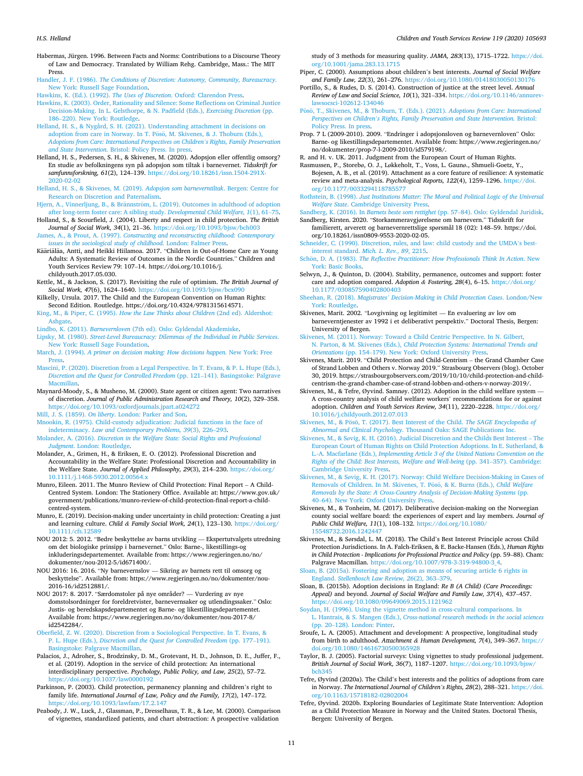- <span id="page-10-0"></span>Habermas, Jürgen. 1996. Between Facts and Norms: Contributions to a Discourse Theory of Law and Democracy. Translated by William Rehg. Cambridge, Mass.: The MIT Press.
- Handler, J. F. (1986). *[The Conditions of Discretion: Autonomy, Community, Bureaucracy](http://refhub.elsevier.com/S0190-7409(20)32116-2/h0225)*. [New York: Russell Sage Foundation.](http://refhub.elsevier.com/S0190-7409(20)32116-2/h0225)
- [Hawkins, K. \(Ed.\). \(1992\).](http://refhub.elsevier.com/S0190-7409(20)32116-2/h0230) *The Uses of Discretion*. Oxford: Clarendon Press.
- [Hawkins, K. \(2003\). Order, Rationality and Silence: Some Reflections on Criminal Justice](http://refhub.elsevier.com/S0190-7409(20)32116-2/h0235)  [Decision-Making. In L. Gelsthorpe, & N. Padfield \(Eds.\),](http://refhub.elsevier.com/S0190-7409(20)32116-2/h0235) *Exercising Discretion* (pp. 186–[220\). New York: Routledge](http://refhub.elsevier.com/S0190-7409(20)32116-2/h0235).
- [Helland, H. S., & Nygård, S. H. \(2021\). Understanding attachment in decisions on](http://refhub.elsevier.com/S0190-7409(20)32116-2/optoyT8FhuIr1) [adoption from care in Norway. In T. Pos](http://refhub.elsevier.com/S0190-7409(20)32116-2/optoyT8FhuIr1)o, M. Skivenes, & J. Thoburn (Eds.), *[Adoptions from Care: International Perspectives on Children](http://refhub.elsevier.com/S0190-7409(20)32116-2/optoyT8FhuIr1)'s Rights, Family Preservation and State Intervention*[. Bristol: Policy Press. In press.](http://refhub.elsevier.com/S0190-7409(20)32116-2/optoyT8FhuIr1)
- Helland, H. S., Pedersen, S. H., & Skivenes, M. (2020). Adopsjon eller offentlig omsorg? En studie av befolkningens syn på adopsjon som tiltak i barnevernet. *Tidsskrift for samfunnsforskning, 61*(2), 124–139. [https://doi.org/10.18261/issn.1504-291X-](https://doi.org/10.18261/issn.1504-291X-2020-02-02)[2020-02-02](https://doi.org/10.18261/issn.1504-291X-2020-02-02)
- [Helland, H. S., & Skivenes, M. \(2019\).](http://refhub.elsevier.com/S0190-7409(20)32116-2/h0240) *Adopsjon som barneverntiltak*. Bergen: Centre for [Research on Discretion and Paternalism.](http://refhub.elsevier.com/S0190-7409(20)32116-2/h0240)
- Hjern, A., Vinnerljung, B., & Brännström, L. (2019). Outcomes in adulthood of adoption [after long-term foster care: A sibling study.](http://refhub.elsevier.com/S0190-7409(20)32116-2/h0245) *Developmental Child Welfare, 1*(1), 61–75.
- Holland, S., & Scourfield, J. (2004). Liberty and respect in child protection. *The British Journal of Social Work, 34*(1), 21–36. <https://doi.org/10.1093/bjsw/bch003>
- James, A., & Prout, A. (1997). *[Constructing and reconstructing childhood: Contemporary](http://refhub.elsevier.com/S0190-7409(20)32116-2/h0255)  [issues in the sociological study of childhood](http://refhub.elsevier.com/S0190-7409(20)32116-2/h0255)*. London: Falmer Press.
- Kääriäläa, Antti, and Heikki Hiilamoa. 2017. "Children in Out-of-Home Care as Young Adults: A Systematic Review of Outcomes in the Nordic Countries." Children and Youth Services Review 79: 107–14. https://doi.org/10.1016/j. childyouth.2017.05.030.
- Kettle, M., & Jackson, S. (2017). Revisiting the rule of optimism. *The British Journal of Social Work, 47*(6), 1624–1640. <https://doi.org/10.1093/bjsw/bcx090>
- Kilkelly, Ursula. 2017. The Child and the European Convention on Human Rights: Second Edition. Routledge. https://doi.org/10.4324/9781315614571.
- King, M., & Piper, C. (1995). *[How the Law Thinks about Children](http://refhub.elsevier.com/S0190-7409(20)32116-2/h0275)* (2nd ed). Aldershot: [Ashgate.](http://refhub.elsevier.com/S0190-7409(20)32116-2/h0275)
- Lindbo, K. (2011). *Barnevernloven* [\(7th ed\). Oslo: Gyldendal Akademiske.](http://refhub.elsevier.com/S0190-7409(20)32116-2/h0280)
- Lipsky, M. (1980). *[Street-Level Bureaucracy: Dilemmas of the Individual in Public Services](http://refhub.elsevier.com/S0190-7409(20)32116-2/h0285)*. [New York: Russell Sage Foundation.](http://refhub.elsevier.com/S0190-7409(20)32116-2/h0285)
- March, J. (1994). *[A primer on decision making: How decisions happen](http://refhub.elsevier.com/S0190-7409(20)32116-2/h0290)*. New York: Free [Press.](http://refhub.elsevier.com/S0190-7409(20)32116-2/h0290)
- [Mascini, P. \(2020\). Discretion from a Legal Perspective. In T. Evans, & P. L. Hupe \(Eds.\),](http://refhub.elsevier.com/S0190-7409(20)32116-2/h0295)  *[Discretion and the Quest for Controlled Freedom](http://refhub.elsevier.com/S0190-7409(20)32116-2/h0295)* (pp. 121–141). Basingstoke: Palgrave [Macmillan](http://refhub.elsevier.com/S0190-7409(20)32116-2/h0295).
- Maynard-Moody, S., & Musheno, M. (2000). State agent or citizen agent: Two narratives of discretion. *Journal of Public Administration Research and Theory, 10*(2), 329–358. <https://doi.org/10.1093/oxfordjournals.jpart.a024272>

Mill, J. S. (1859). *On liberty*[. London: Parker and Son](http://refhub.elsevier.com/S0190-7409(20)32116-2/h0305).

- [Mnookin, R. \(1975\). Child-custody adjudication: Judicial functions in the face of](http://refhub.elsevier.com/S0190-7409(20)32116-2/h0310) indeterminacy. *[Law and Contemporary Problems, 39](http://refhub.elsevier.com/S0190-7409(20)32116-2/h0310)*(3), 226–293.
- Molander, A. (2016). *[Discretion in the Welfare State: Social Rights and Professional](http://refhub.elsevier.com/S0190-7409(20)32116-2/h0315)  Judgment*[. London: Routledge.](http://refhub.elsevier.com/S0190-7409(20)32116-2/h0315)
- Molander, A., Grimen, H., & Eriksen, E. O. (2012). Professional Discretion and Accountability in the Welfare State: Professional Discretion and Accountability in the Welfare State. *Journal of Applied Philosophy, 29*(3), 214–230. [https://doi.org/](https://doi.org/10.1111/j.1468-5930.2012.00564.x)  [10.1111/j.1468-5930.2012.00564.x](https://doi.org/10.1111/j.1468-5930.2012.00564.x)
- Munro, Eileen. 2011. The Munro Review of Child Protection: Final Report A Child-Centred System. London: The Stationery Office. Available at: https://www.gov.uk/ government/publications/munro-review-of-child-protection-final-report-a-childcentred-system.
- Munro, E. (2019). Decision-making under uncertainty in child protection: Creating a just and learning culture. *Child & Family Social Work, 24*(1), 123–130. [https://doi.org/](https://doi.org/10.1111/cfs.12589) [10.1111/cfs.12589](https://doi.org/10.1111/cfs.12589)
- NOU 2012: 5. 2012. "Bedre beskyttelse av barns utvikling Ekspertutvalgets utredning om det biologiske prinsipp i barnevernet." Oslo: Barne-, likestillings-og inkluderingsdepartementet. Available from: https://www.regjeringen.no/no/ dokumenter/nou-2012-5/id671400/.
- NOU 2016: 16. 2016. "Ny barnevernslov Sikring av barnets rett til omsorg og beskyttelse". Available from: https://www.regjeringen.no/no/dokumenter/nou-2016-16/id2512881/.
- NOU 2017: 8. 2017. "Særdomstoler på nye områder? Vurdering av nye domstolsordninger for foreldretvister, barnevernsaker og utlendingssaker." Oslo: Justis- og beredskapsdepartementet og Barne- og likestillingsdepartementet. Available from: https://www.regjeringen.no/no/dokumenter/nou-2017-8/ id2542284/.
- [Oberfield, Z. W. \(2020\). Discretion from a Sociological Perspective. In T. Evans, &](http://refhub.elsevier.com/S0190-7409(20)32116-2/h0350)  P. L. Hupe (Eds.), *Discretion and the Quest for Controlled Freedom* (pp. 177-191). [Basingstoke: Palgrave Macmillan](http://refhub.elsevier.com/S0190-7409(20)32116-2/h0350).
- Palacios, J., Adroher, S., Brodzinsky, D. M., Grotevant, H. D., Johnson, D. E., Juffer, F., et al. (2019). Adoption in the service of child protection: An international interdisciplinary perspective. *Psychology, Public Policy, and Law, 25*(2), 57–72. <https://doi.org/10.1037/law0000192>
- Parkinson, P. (2003). Child protection, permanency planning and children's right to family life. *International Journal of Law, Policy and the Family, 17*(2), 147–172. //doi.org/10.1093/lawfam/17.2.147
- Peabody, J. W., Luck, J., Glassman, P., Dresselhaus, T. R., & Lee, M. (2000). Comparison of vignettes, standardized patients, and chart abstraction: A prospective validation

study of 3 methods for measuring quality. *JAMA, 283*(13), 1715–1722. [https://doi.](https://doi.org/10.1001/jama.283.13.1715)  [org/10.1001/jama.283.13.1715](https://doi.org/10.1001/jama.283.13.1715) 

Piper, C. (2000). Assumptions about children's best interests. *Journal of Social Welfare and Family Law, 22*(3), 261–276. <https://doi.org/10.1080/01418030050130176>

- Portillo, S., & Rudes, D. S. (2014). Construction of justice at the street level. *Annual Review of Law and Social Science, 10*(1), 321–334. [https://doi.org/10.1146/annurev](https://doi.org/10.1146/annurev-lawsocsci-102612-134046)[lawsocsci-102612-134046](https://doi.org/10.1146/annurev-lawsocsci-102612-134046)
- Pösö, [T., Skivenes, M., & Thoburn, T. \(Eds.\). \(2021\).](http://refhub.elsevier.com/S0190-7409(20)32116-2/optA6RUeiCDDT) *Adoptions from Care: International Perspectives on Children'[s Rights, Family Preservation and State Intervention](http://refhub.elsevier.com/S0190-7409(20)32116-2/optA6RUeiCDDT)*. Bristol: [Policy Press. In press](http://refhub.elsevier.com/S0190-7409(20)32116-2/optA6RUeiCDDT).
- Prop. 7 L (2009-2010). 2009. "Endringer i adopsjonsloven og barnevernloven" Oslo: Barne- og likestillingsdepartementet. Available from: https://www.regjeringen.no/ no/dokumenter/prop-7-l-2009-2010/id579198/.

R. and H. v. UK. 2011. Judgment from the European Court of Human Rights.

- Rasmussen, P., Storebø, O. J., Løkkeholt, T., Voss, L. Gaunø., Shmueli-Goetz, Y., Bojesen, A. B., et al. (2019). Attachment as a core feature of resilience: A systematic review and meta-analysis. *Psychological Reports, 122*(4), 1259–1296. [https://doi.](https://doi.org/10.1177/0033294118785577)  [org/10.1177/0033294118785577](https://doi.org/10.1177/0033294118785577)
- Rothstein, B. (1998). *[Just Institutions Matter: The Moral and Political Logic of the Universal](http://refhub.elsevier.com/S0190-7409(20)32116-2/h0395)  Welfare State*[. Cambridge University Press](http://refhub.elsevier.com/S0190-7409(20)32116-2/h0395).
- Sandberg, K. (2016). In *Barnets beste som rettighet* (pp. 57–[84\). Oslo: Gyldendal Juridisk.](http://refhub.elsevier.com/S0190-7409(20)32116-2/h0400) Sandberg, Kirsten. 2020. "Storkammeravgjørelsene om barnevern." Tidsskrift for
- familierett, arverett og barnevernrettslige spørsmål 18 (02): 148–59. https://doi. org/10.18261/issn0809-9553-2020-02-05.
- [Schneider, C. \(1990\). Discretion, rules, and law: child custody and the UMDA](http://refhub.elsevier.com/S0190-7409(20)32116-2/h0410)'s best[interest standard.](http://refhub.elsevier.com/S0190-7409(20)32116-2/h0410) *Mich. L. Rev., 89*, 2215.
- Schön, D. A. (1983). *[The Reflective Practitioner: How Professionals Think In Action](http://refhub.elsevier.com/S0190-7409(20)32116-2/h0415)*. New [York: Basic Books](http://refhub.elsevier.com/S0190-7409(20)32116-2/h0415).
- Selwyn, J., & Quinton, D. (2004). Stability, permanence, outcomes and support: foster care and adoption compared. *Adoption & Fostering, 28*(4), 6–15. [https://doi.org/](https://doi.org/10.1177/030857590402800403)  [10.1177/030857590402800403](https://doi.org/10.1177/030857590402800403)
- Sheehan, R. (2018). *Magistrates' [Decision-Making in Child Protection Cases](http://refhub.elsevier.com/S0190-7409(20)32116-2/h0425)*. London/New [York: Routledge](http://refhub.elsevier.com/S0190-7409(20)32116-2/h0425).
- Skivenes, Marit. 2002. "Lovgivning og legitimitet En evaluering av lov om barneverntjenester av 1992 i et deliberativt perspektiv." Doctoral Thesis, Bergen: University of Bergen.
- [Skivenes, M. \(2011\). Norway: Toward a Child Centric Perspective. In N. Gilbert,](http://refhub.elsevier.com/S0190-7409(20)32116-2/h0435) N. Parton, & M. Skivenes (Eds.), *[Child Protection Systems: International Trends and](http://refhub.elsevier.com/S0190-7409(20)32116-2/h0435) Orientations* (pp. 154–[179\). New York: Oxford University Press](http://refhub.elsevier.com/S0190-7409(20)32116-2/h0435).
- Skivenes, Marit. 2019. "Child Protection and Child-Centrism the Grand Chamber Case of Strand Lobben and Others v. Norway 2019." Strasbourg Observers (blog). October 30, 2019. https://strasbourgobservers.com/2019/10/10/child-protection-and-childcentrism-the-grand-chamber-case-of-strand-lobben-and-others-v-norway-2019/.
- Skivenes, M., & Tefre, Øyvind. Samnøy. (2012). Adoption in the child welfare system A cross-country analysis of child welfare workers' recommendations for or against adoption. *Children and Youth Services Review, 34*(11), 2220–2228. [https://doi.org/](https://doi.org/10.1016/j.childyouth.2012.07.013) [10.1016/j.childyouth.2012.07.013](https://doi.org/10.1016/j.childyouth.2012.07.013)

Skivenes, M., & Pösö, [T. \(2017\). Best Interest of the Child.](http://refhub.elsevier.com/S0190-7409(20)32116-2/h0450) *The SAGE Encyclopedia of Abnormal and Clinical Psychology*[. Thousand Oaks: SAGE Publications Inc.](http://refhub.elsevier.com/S0190-7409(20)32116-2/h0450)

- Skivenes, M., & Sø[vig, K. H. \(2016\). Judicial Discretion and the Child](http://refhub.elsevier.com/S0190-7409(20)32116-2/h0455)́ s Best Interest The [European Court of Human Rights on Child Protection Adoptions. In E. Sutherland, &](http://refhub.elsevier.com/S0190-7409(20)32116-2/h0455)  L.-A. Macfarlane (Eds.), *[Implementing Article 3 of the United Nations Convention on the](http://refhub.elsevier.com/S0190-7409(20)32116-2/h0455)  [Rights of the Child: Best Interests, Welfare and Well-being](http://refhub.elsevier.com/S0190-7409(20)32116-2/h0455)* (pp. 341–357). Cambridge: [Cambridge University Press](http://refhub.elsevier.com/S0190-7409(20)32116-2/h0455).
- Skivenes, M., & Sø[vig, K. H. \(2017\). Norway: Child Welfare Decision-Making in Cases of](http://refhub.elsevier.com/S0190-7409(20)32116-2/h0460)  Removals of Children. In M. Skivenes, T. Pösö, & K. Burns (Eds.), *Child Welfare [Removals by the State: A Cross-Country Analysis of Decision-Making Systems](http://refhub.elsevier.com/S0190-7409(20)32116-2/h0460) (pp.* 40–[64\). New York: Oxford University Press.](http://refhub.elsevier.com/S0190-7409(20)32116-2/h0460)
- Skivenes, M., & Tonheim, M. (2017). Deliberative decision-making on the Norwegian county social welfare board: the experiences of expert and lay members. *Journal of Public Child Welfare, 11*(1), 108–132. [https://doi.org/10.1080/](https://doi.org/10.1080/15548732.2016.1242447)  [15548732.2016.1242447](https://doi.org/10.1080/15548732.2016.1242447)
- Skivenes, M., & Sørsdal, L. M. (2018). The Child's Best Interest Principle across Child Protection Jurisdictions. In A. Falch-Eriksen, & E. Backe-Hansen (Eds.), *Human Rights in Child Protection - Implications for Professional Practice and Policy (pp. 59-88). Cham:* Palgrave Macmillan. [https://doi.org/10.1007/978-3-319-94800-3\\_4](https://doi.org/10.1007/978-3-319-94800-3_4).
- [Sloan, B. \(2015a\). Fostering and adoption as means of securing article 6 rights in](http://refhub.elsevier.com/S0190-7409(20)32116-2/h0475) England. *[Stellenbosch Law Review, 26](http://refhub.elsevier.com/S0190-7409(20)32116-2/h0475)*(2), 363–379.
- Sloan, B. (2015b). Adoption decisions in England: *Re B (A Child) (Care Proceedings: Appeal)* and beyond. *Journal of Social Welfare and Family Law, 37*(4), 437–457. <https://doi.org/10.1080/09649069.2015.1121962>
- [Soydan, H. \(1996\). Using the vignette method in cross-cultural comparisons. In](http://refhub.elsevier.com/S0190-7409(20)32116-2/h0485) L. Hantrais, & S. Mangen (Eds.), *[Cross-national research methods in the social sciences](http://refhub.elsevier.com/S0190-7409(20)32116-2/h0485)*  (pp. 20–[128\). London: Pinter](http://refhub.elsevier.com/S0190-7409(20)32116-2/h0485).
- Sroufe, L. A. (2005). Attachment and development: A prospective, longitudinal study from birth to adulthood. *Attachment & Human Development, 7*(4), 349–367. [https://](https://doi.org/10.1080/14616730500365928)  [doi.org/10.1080/14616730500365928](https://doi.org/10.1080/14616730500365928)
- Taylor, B. J. (2005). Factorial surveys: Using vignettes to study professional judgement. *British Journal of Social Work, 36*(7), 1187–1207. [https://doi.org/10.1093/bjsw/](https://doi.org/10.1093/bjsw/bch345)  [bch345](https://doi.org/10.1093/bjsw/bch345)
- Tefre, Øyvind (2020a). The Child's best interests and the politics of adoptions from care in Norway. *The International Journal of Children's Rights, 28*(2), 288–321. [https://doi.](https://doi.org/10.1163/15718182-02802004)  [org/10.1163/15718182-02802004](https://doi.org/10.1163/15718182-02802004)
- Tefre, Øyvind. 2020b. Exploring Boundaries of Legitimate State Intervention: Adoption as a Child Protection Measure in Norway and the United States. Doctoral Thesis, Bergen: University of Bergen.